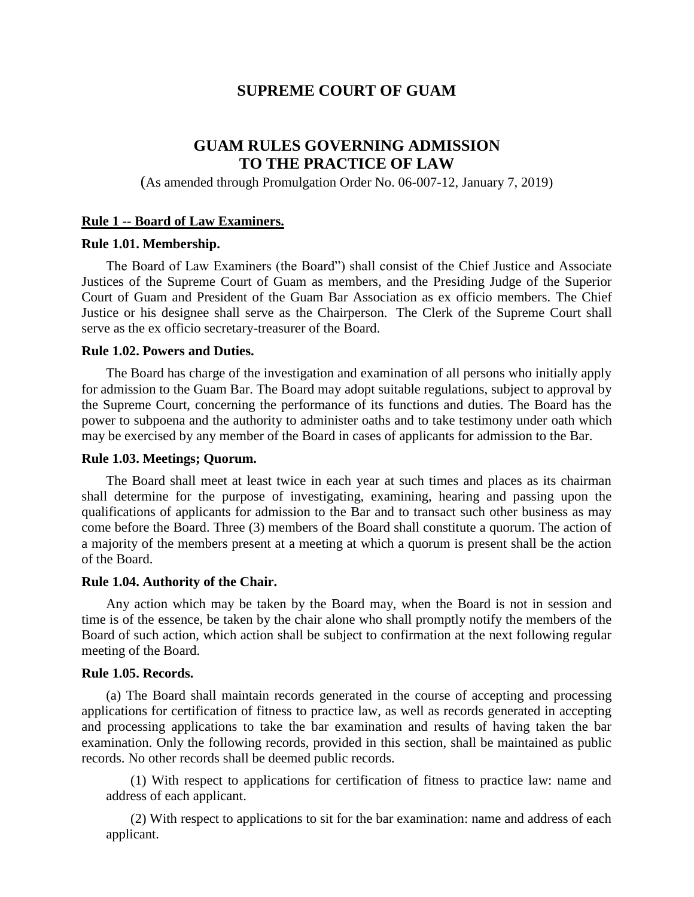## **SUPREME COURT OF GUAM**

# **GUAM RULES GOVERNING ADMISSION TO THE PRACTICE OF LAW**

(As amended through Promulgation Order No. 06-007-12, January 7, 2019)

#### **Rule 1 -- Board of Law Examiners.**

#### **Rule 1.01. Membership.**

The Board of Law Examiners (the Board") shall consist of the Chief Justice and Associate Justices of the Supreme Court of Guam as members, and the Presiding Judge of the Superior Court of Guam and President of the Guam Bar Association as ex officio members. The Chief Justice or his designee shall serve as the Chairperson. The Clerk of the Supreme Court shall serve as the ex officio secretary-treasurer of the Board.

#### **Rule 1.02. Powers and Duties.**

The Board has charge of the investigation and examination of all persons who initially apply for admission to the Guam Bar. The Board may adopt suitable regulations, subject to approval by the Supreme Court, concerning the performance of its functions and duties. The Board has the power to subpoena and the authority to administer oaths and to take testimony under oath which may be exercised by any member of the Board in cases of applicants for admission to the Bar.

#### **Rule 1.03. Meetings; Quorum.**

The Board shall meet at least twice in each year at such times and places as its chairman shall determine for the purpose of investigating, examining, hearing and passing upon the qualifications of applicants for admission to the Bar and to transact such other business as may come before the Board. Three (3) members of the Board shall constitute a quorum. The action of a majority of the members present at a meeting at which a quorum is present shall be the action of the Board.

#### **Rule 1.04. Authority of the Chair.**

Any action which may be taken by the Board may, when the Board is not in session and time is of the essence, be taken by the chair alone who shall promptly notify the members of the Board of such action, which action shall be subject to confirmation at the next following regular meeting of the Board.

#### **Rule 1.05. Records.**

(a) The Board shall maintain records generated in the course of accepting and processing applications for certification of fitness to practice law, as well as records generated in accepting and processing applications to take the bar examination and results of having taken the bar examination. Only the following records, provided in this section, shall be maintained as public records. No other records shall be deemed public records.

(1) With respect to applications for certification of fitness to practice law: name and address of each applicant.

(2) With respect to applications to sit for the bar examination: name and address of each applicant.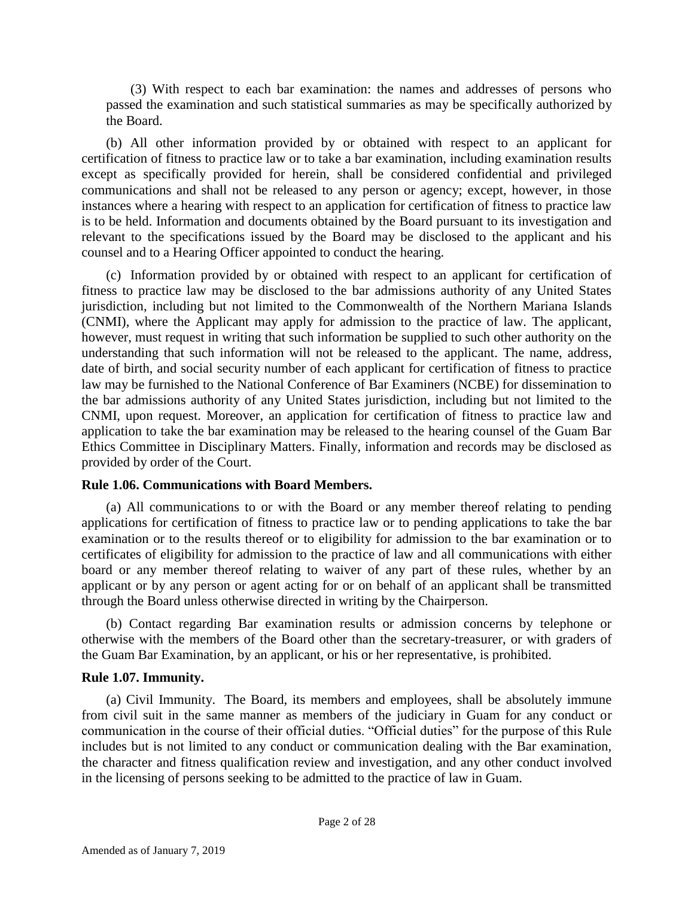(3) With respect to each bar examination: the names and addresses of persons who passed the examination and such statistical summaries as may be specifically authorized by the Board.

(b) All other information provided by or obtained with respect to an applicant for certification of fitness to practice law or to take a bar examination, including examination results except as specifically provided for herein, shall be considered confidential and privileged communications and shall not be released to any person or agency; except, however, in those instances where a hearing with respect to an application for certification of fitness to practice law is to be held. Information and documents obtained by the Board pursuant to its investigation and relevant to the specifications issued by the Board may be disclosed to the applicant and his counsel and to a Hearing Officer appointed to conduct the hearing.

(c) Information provided by or obtained with respect to an applicant for certification of fitness to practice law may be disclosed to the bar admissions authority of any United States jurisdiction, including but not limited to the Commonwealth of the Northern Mariana Islands (CNMI), where the Applicant may apply for admission to the practice of law. The applicant, however, must request in writing that such information be supplied to such other authority on the understanding that such information will not be released to the applicant. The name, address, date of birth, and social security number of each applicant for certification of fitness to practice law may be furnished to the National Conference of Bar Examiners (NCBE) for dissemination to the bar admissions authority of any United States jurisdiction, including but not limited to the CNMI, upon request. Moreover, an application for certification of fitness to practice law and application to take the bar examination may be released to the hearing counsel of the Guam Bar Ethics Committee in Disciplinary Matters. Finally, information and records may be disclosed as provided by order of the Court.

### **Rule 1.06. Communications with Board Members.**

(a) All communications to or with the Board or any member thereof relating to pending applications for certification of fitness to practice law or to pending applications to take the bar examination or to the results thereof or to eligibility for admission to the bar examination or to certificates of eligibility for admission to the practice of law and all communications with either board or any member thereof relating to waiver of any part of these rules, whether by an applicant or by any person or agent acting for or on behalf of an applicant shall be transmitted through the Board unless otherwise directed in writing by the Chairperson.

(b) Contact regarding Bar examination results or admission concerns by telephone or otherwise with the members of the Board other than the secretary-treasurer, or with graders of the Guam Bar Examination, by an applicant, or his or her representative, is prohibited.

### **Rule 1.07. Immunity.**

(a) Civil Immunity. The Board, its members and employees, shall be absolutely immune from civil suit in the same manner as members of the judiciary in Guam for any conduct or communication in the course of their official duties. "Official duties" for the purpose of this Rule includes but is not limited to any conduct or communication dealing with the Bar examination, the character and fitness qualification review and investigation, and any other conduct involved in the licensing of persons seeking to be admitted to the practice of law in Guam.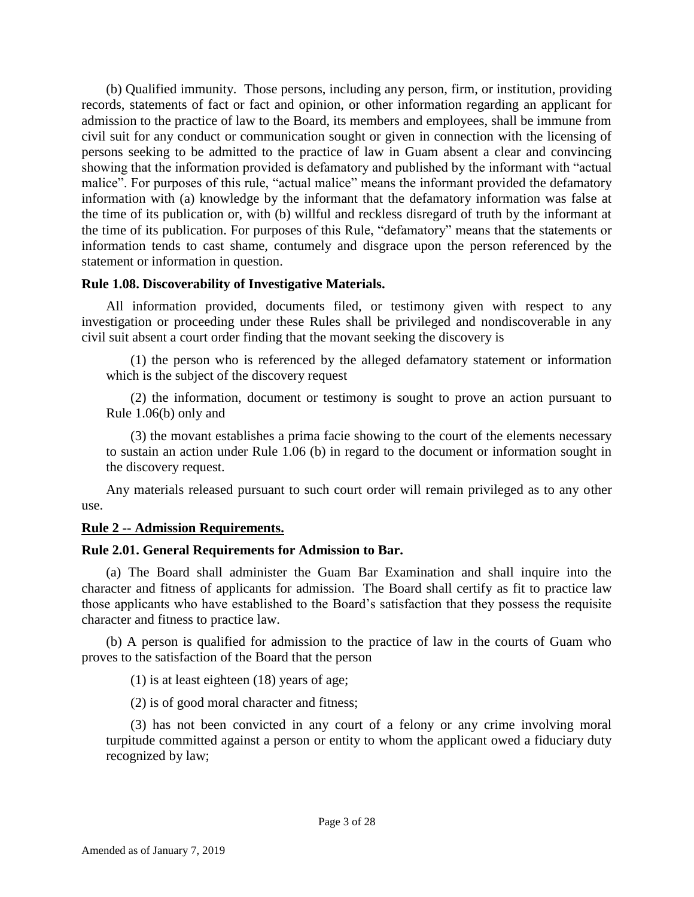(b) Qualified immunity. Those persons, including any person, firm, or institution, providing records, statements of fact or fact and opinion, or other information regarding an applicant for admission to the practice of law to the Board, its members and employees, shall be immune from civil suit for any conduct or communication sought or given in connection with the licensing of persons seeking to be admitted to the practice of law in Guam absent a clear and convincing showing that the information provided is defamatory and published by the informant with "actual malice". For purposes of this rule, "actual malice" means the informant provided the defamatory information with (a) knowledge by the informant that the defamatory information was false at the time of its publication or, with (b) willful and reckless disregard of truth by the informant at the time of its publication. For purposes of this Rule, "defamatory" means that the statements or information tends to cast shame, contumely and disgrace upon the person referenced by the statement or information in question.

#### **Rule 1.08. Discoverability of Investigative Materials.**

All information provided, documents filed, or testimony given with respect to any investigation or proceeding under these Rules shall be privileged and nondiscoverable in any civil suit absent a court order finding that the movant seeking the discovery is

(1) the person who is referenced by the alleged defamatory statement or information which is the subject of the discovery request

(2) the information, document or testimony is sought to prove an action pursuant to Rule 1.06(b) only and

(3) the movant establishes a prima facie showing to the court of the elements necessary to sustain an action under Rule 1.06 (b) in regard to the document or information sought in the discovery request.

Any materials released pursuant to such court order will remain privileged as to any other use.

### **Rule 2 -- Admission Requirements.**

### **Rule 2.01. General Requirements for Admission to Bar.**

(a) The Board shall administer the Guam Bar Examination and shall inquire into the character and fitness of applicants for admission. The Board shall certify as fit to practice law those applicants who have established to the Board's satisfaction that they possess the requisite character and fitness to practice law.

(b) A person is qualified for admission to the practice of law in the courts of Guam who proves to the satisfaction of the Board that the person

(1) is at least eighteen (18) years of age;

(2) is of good moral character and fitness;

(3) has not been convicted in any court of a felony or any crime involving moral turpitude committed against a person or entity to whom the applicant owed a fiduciary duty recognized by law;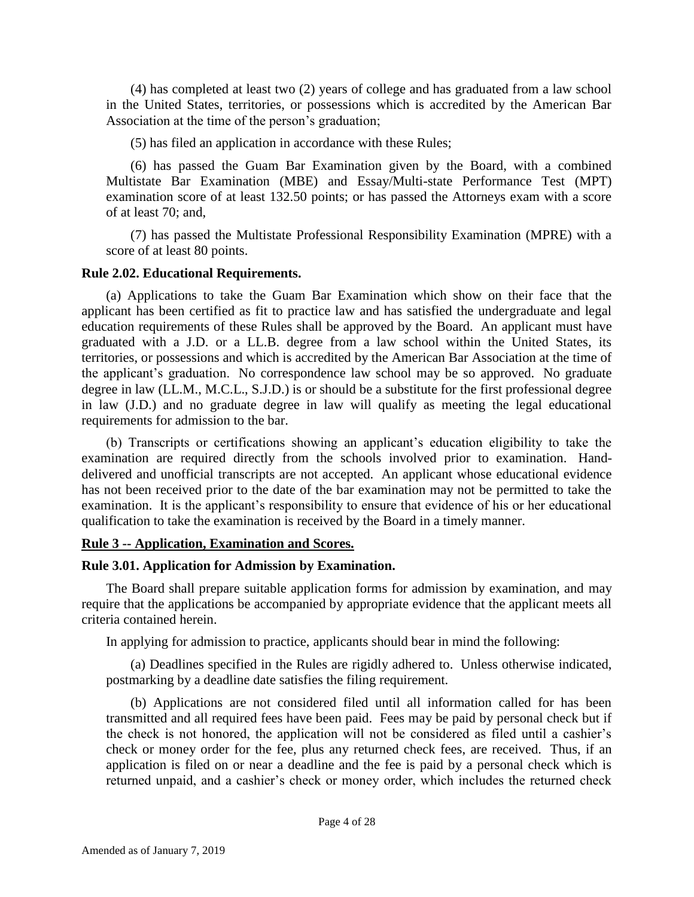(4) has completed at least two (2) years of college and has graduated from a law school in the United States, territories, or possessions which is accredited by the American Bar Association at the time of the person's graduation;

(5) has filed an application in accordance with these Rules;

(6) has passed the Guam Bar Examination given by the Board, with a combined Multistate Bar Examination (MBE) and Essay/Multi-state Performance Test (MPT) examination score of at least 132.50 points; or has passed the Attorneys exam with a score of at least 70; and,

(7) has passed the Multistate Professional Responsibility Examination (MPRE) with a score of at least 80 points.

#### **Rule 2.02. Educational Requirements.**

(a) Applications to take the Guam Bar Examination which show on their face that the applicant has been certified as fit to practice law and has satisfied the undergraduate and legal education requirements of these Rules shall be approved by the Board. An applicant must have graduated with a J.D. or a LL.B. degree from a law school within the United States, its territories, or possessions and which is accredited by the American Bar Association at the time of the applicant's graduation. No correspondence law school may be so approved. No graduate degree in law (LL.M., M.C.L., S.J.D.) is or should be a substitute for the first professional degree in law (J.D.) and no graduate degree in law will qualify as meeting the legal educational requirements for admission to the bar.

(b) Transcripts or certifications showing an applicant's education eligibility to take the examination are required directly from the schools involved prior to examination. Handdelivered and unofficial transcripts are not accepted. An applicant whose educational evidence has not been received prior to the date of the bar examination may not be permitted to take the examination. It is the applicant's responsibility to ensure that evidence of his or her educational qualification to take the examination is received by the Board in a timely manner.

### **Rule 3 -- Application, Examination and Scores.**

### **Rule 3.01. Application for Admission by Examination.**

The Board shall prepare suitable application forms for admission by examination, and may require that the applications be accompanied by appropriate evidence that the applicant meets all criteria contained herein.

In applying for admission to practice, applicants should bear in mind the following:

(a) Deadlines specified in the Rules are rigidly adhered to. Unless otherwise indicated, postmarking by a deadline date satisfies the filing requirement.

(b) Applications are not considered filed until all information called for has been transmitted and all required fees have been paid. Fees may be paid by personal check but if the check is not honored, the application will not be considered as filed until a cashier's check or money order for the fee, plus any returned check fees, are received. Thus, if an application is filed on or near a deadline and the fee is paid by a personal check which is returned unpaid, and a cashier's check or money order, which includes the returned check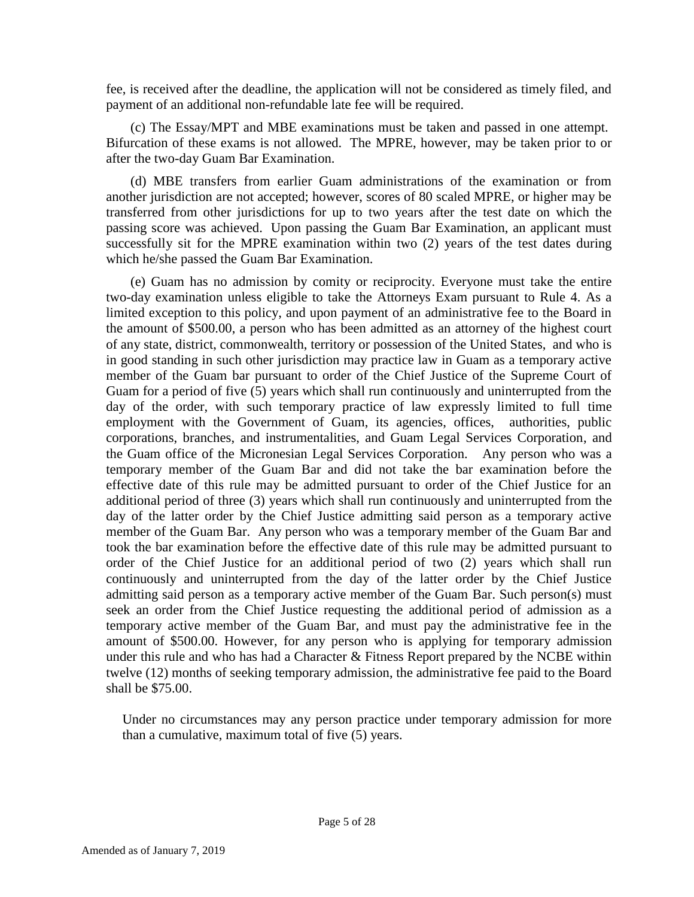fee, is received after the deadline, the application will not be considered as timely filed, and payment of an additional non-refundable late fee will be required.

(c) The Essay/MPT and MBE examinations must be taken and passed in one attempt. Bifurcation of these exams is not allowed. The MPRE, however, may be taken prior to or after the two-day Guam Bar Examination.

(d) MBE transfers from earlier Guam administrations of the examination or from another jurisdiction are not accepted; however, scores of 80 scaled MPRE, or higher may be transferred from other jurisdictions for up to two years after the test date on which the passing score was achieved. Upon passing the Guam Bar Examination, an applicant must successfully sit for the MPRE examination within two (2) years of the test dates during which he/she passed the Guam Bar Examination.

(e) Guam has no admission by comity or reciprocity. Everyone must take the entire two-day examination unless eligible to take the Attorneys Exam pursuant to Rule 4. As a limited exception to this policy, and upon payment of an administrative fee to the Board in the amount of \$500.00, a person who has been admitted as an attorney of the highest court of any state, district, commonwealth, territory or possession of the United States, and who is in good standing in such other jurisdiction may practice law in Guam as a temporary active member of the Guam bar pursuant to order of the Chief Justice of the Supreme Court of Guam for a period of five (5) years which shall run continuously and uninterrupted from the day of the order, with such temporary practice of law expressly limited to full time employment with the Government of Guam, its agencies, offices, authorities, public corporations, branches, and instrumentalities, and Guam Legal Services Corporation, and the Guam office of the Micronesian Legal Services Corporation. Any person who was a temporary member of the Guam Bar and did not take the bar examination before the effective date of this rule may be admitted pursuant to order of the Chief Justice for an additional period of three (3) years which shall run continuously and uninterrupted from the day of the latter order by the Chief Justice admitting said person as a temporary active member of the Guam Bar. Any person who was a temporary member of the Guam Bar and took the bar examination before the effective date of this rule may be admitted pursuant to order of the Chief Justice for an additional period of two (2) years which shall run continuously and uninterrupted from the day of the latter order by the Chief Justice admitting said person as a temporary active member of the Guam Bar. Such person(s) must seek an order from the Chief Justice requesting the additional period of admission as a temporary active member of the Guam Bar, and must pay the administrative fee in the amount of \$500.00. However, for any person who is applying for temporary admission under this rule and who has had a Character & Fitness Report prepared by the NCBE within twelve (12) months of seeking temporary admission, the administrative fee paid to the Board shall be \$75.00.

Under no circumstances may any person practice under temporary admission for more than a cumulative, maximum total of five (5) years.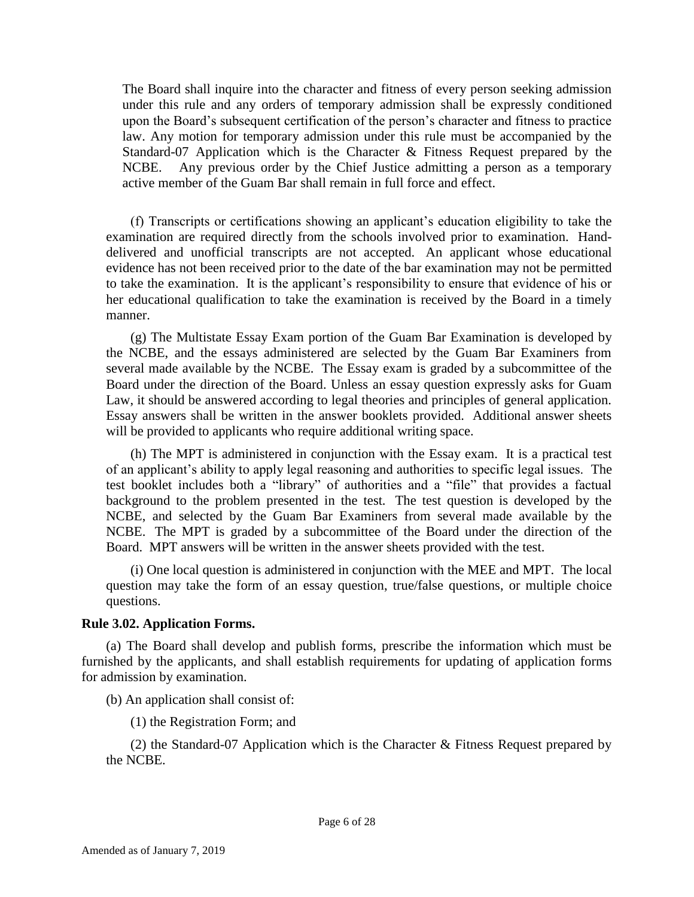The Board shall inquire into the character and fitness of every person seeking admission under this rule and any orders of temporary admission shall be expressly conditioned upon the Board's subsequent certification of the person's character and fitness to practice law. Any motion for temporary admission under this rule must be accompanied by the Standard-07 Application which is the Character & Fitness Request prepared by the NCBE. Any previous order by the Chief Justice admitting a person as a temporary active member of the Guam Bar shall remain in full force and effect.

(f) Transcripts or certifications showing an applicant's education eligibility to take the examination are required directly from the schools involved prior to examination. Handdelivered and unofficial transcripts are not accepted. An applicant whose educational evidence has not been received prior to the date of the bar examination may not be permitted to take the examination. It is the applicant's responsibility to ensure that evidence of his or her educational qualification to take the examination is received by the Board in a timely manner.

(g) The Multistate Essay Exam portion of the Guam Bar Examination is developed by the NCBE, and the essays administered are selected by the Guam Bar Examiners from several made available by the NCBE. The Essay exam is graded by a subcommittee of the Board under the direction of the Board. Unless an essay question expressly asks for Guam Law, it should be answered according to legal theories and principles of general application. Essay answers shall be written in the answer booklets provided. Additional answer sheets will be provided to applicants who require additional writing space.

(h) The MPT is administered in conjunction with the Essay exam. It is a practical test of an applicant's ability to apply legal reasoning and authorities to specific legal issues. The test booklet includes both a "library" of authorities and a "file" that provides a factual background to the problem presented in the test. The test question is developed by the NCBE, and selected by the Guam Bar Examiners from several made available by the NCBE. The MPT is graded by a subcommittee of the Board under the direction of the Board. MPT answers will be written in the answer sheets provided with the test.

(i) One local question is administered in conjunction with the MEE and MPT. The local question may take the form of an essay question, true/false questions, or multiple choice questions.

#### **Rule 3.02. Application Forms.**

(a) The Board shall develop and publish forms, prescribe the information which must be furnished by the applicants, and shall establish requirements for updating of application forms for admission by examination.

(b) An application shall consist of:

(1) the Registration Form; and

(2) the Standard-07 Application which is the Character & Fitness Request prepared by the NCBE.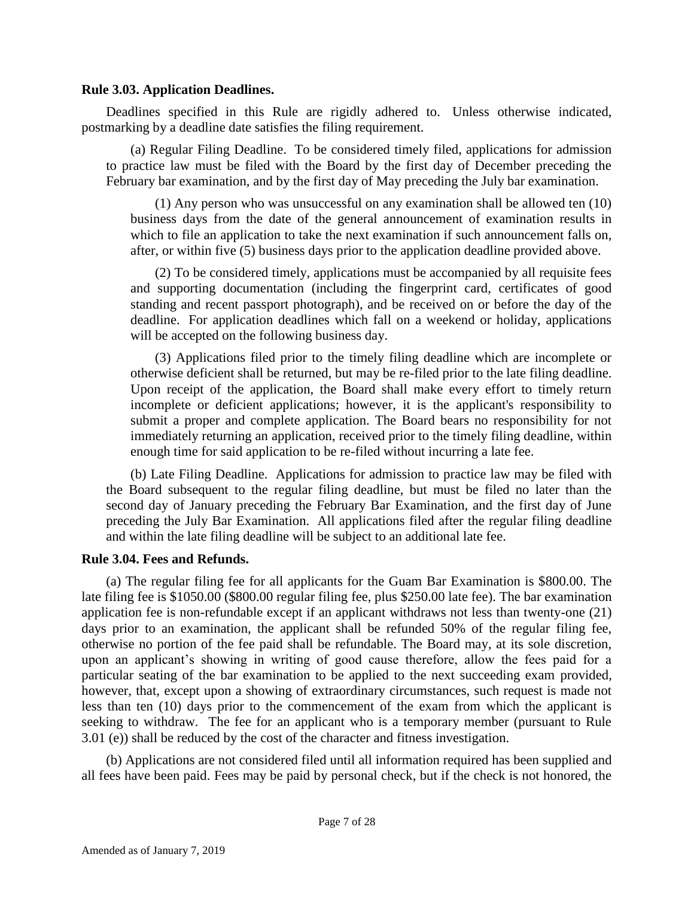#### **Rule 3.03. Application Deadlines.**

Deadlines specified in this Rule are rigidly adhered to. Unless otherwise indicated, postmarking by a deadline date satisfies the filing requirement.

(a) Regular Filing Deadline. To be considered timely filed, applications for admission to practice law must be filed with the Board by the first day of December preceding the February bar examination, and by the first day of May preceding the July bar examination.

(1) Any person who was unsuccessful on any examination shall be allowed ten (10) business days from the date of the general announcement of examination results in which to file an application to take the next examination if such announcement falls on, after, or within five (5) business days prior to the application deadline provided above.

(2) To be considered timely, applications must be accompanied by all requisite fees and supporting documentation (including the fingerprint card, certificates of good standing and recent passport photograph), and be received on or before the day of the deadline. For application deadlines which fall on a weekend or holiday, applications will be accepted on the following business day.

(3) Applications filed prior to the timely filing deadline which are incomplete or otherwise deficient shall be returned, but may be re-filed prior to the late filing deadline. Upon receipt of the application, the Board shall make every effort to timely return incomplete or deficient applications; however, it is the applicant's responsibility to submit a proper and complete application. The Board bears no responsibility for not immediately returning an application, received prior to the timely filing deadline, within enough time for said application to be re-filed without incurring a late fee.

(b) Late Filing Deadline. Applications for admission to practice law may be filed with the Board subsequent to the regular filing deadline, but must be filed no later than the second day of January preceding the February Bar Examination, and the first day of June preceding the July Bar Examination. All applications filed after the regular filing deadline and within the late filing deadline will be subject to an additional late fee.

#### **Rule 3.04. Fees and Refunds.**

(a) The regular filing fee for all applicants for the Guam Bar Examination is \$800.00. The late filing fee is \$1050.00 (\$800.00 regular filing fee, plus \$250.00 late fee). The bar examination application fee is non-refundable except if an applicant withdraws not less than twenty-one (21) days prior to an examination, the applicant shall be refunded 50% of the regular filing fee, otherwise no portion of the fee paid shall be refundable. The Board may, at its sole discretion, upon an applicant's showing in writing of good cause therefore, allow the fees paid for a particular seating of the bar examination to be applied to the next succeeding exam provided, however, that, except upon a showing of extraordinary circumstances, such request is made not less than ten (10) days prior to the commencement of the exam from which the applicant is seeking to withdraw. The fee for an applicant who is a temporary member (pursuant to Rule 3.01 (e)) shall be reduced by the cost of the character and fitness investigation.

(b) Applications are not considered filed until all information required has been supplied and all fees have been paid. Fees may be paid by personal check, but if the check is not honored, the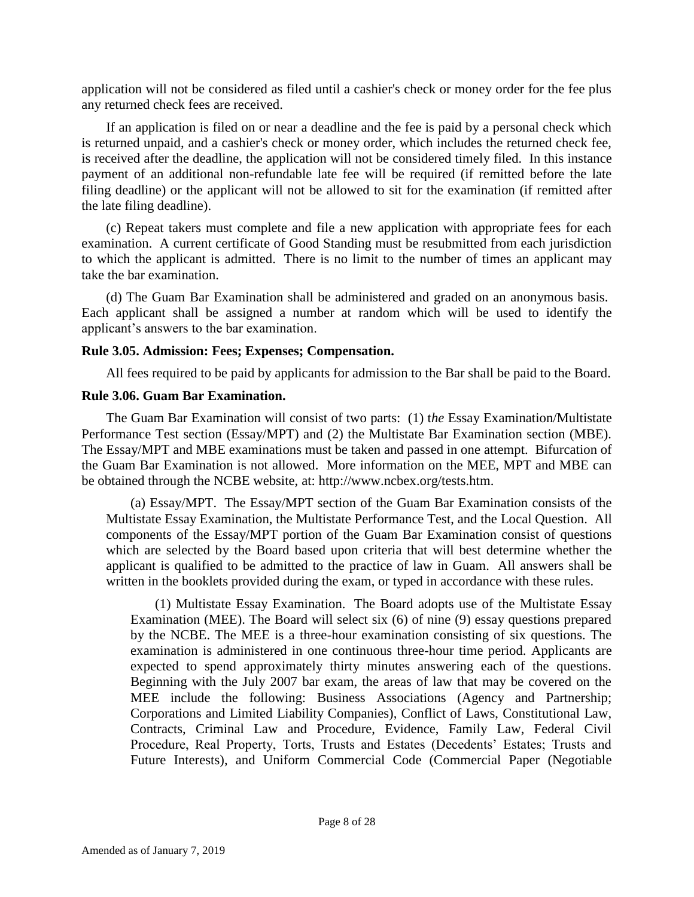application will not be considered as filed until a cashier's check or money order for the fee plus any returned check fees are received.

If an application is filed on or near a deadline and the fee is paid by a personal check which is returned unpaid, and a cashier's check or money order, which includes the returned check fee, is received after the deadline, the application will not be considered timely filed. In this instance payment of an additional non-refundable late fee will be required (if remitted before the late filing deadline) or the applicant will not be allowed to sit for the examination (if remitted after the late filing deadline).

(c) Repeat takers must complete and file a new application with appropriate fees for each examination. A current certificate of Good Standing must be resubmitted from each jurisdiction to which the applicant is admitted. There is no limit to the number of times an applicant may take the bar examination.

(d) The Guam Bar Examination shall be administered and graded on an anonymous basis. Each applicant shall be assigned a number at random which will be used to identify the applicant's answers to the bar examination.

### **Rule 3.05. Admission: Fees; Expenses; Compensation.**

All fees required to be paid by applicants for admission to the Bar shall be paid to the Board.

#### **Rule 3.06. Guam Bar Examination.**

The Guam Bar Examination will consist of two parts: (1) t*he* Essay Examination/Multistate Performance Test section (Essay/MPT) and (2) the Multistate Bar Examination section (MBE). The Essay/MPT and MBE examinations must be taken and passed in one attempt. Bifurcation of the Guam Bar Examination is not allowed. More information on the MEE, MPT and MBE can be obtained through the NCBE website, at: http://www.ncbex.org/tests.htm.

(a) Essay/MPT. The Essay/MPT section of the Guam Bar Examination consists of the Multistate Essay Examination, the Multistate Performance Test, and the Local Question. All components of the Essay/MPT portion of the Guam Bar Examination consist of questions which are selected by the Board based upon criteria that will best determine whether the applicant is qualified to be admitted to the practice of law in Guam. All answers shall be written in the booklets provided during the exam, or typed in accordance with these rules.

(1) Multistate Essay Examination. The Board adopts use of the Multistate Essay Examination (MEE). The Board will select six (6) of nine (9) essay questions prepared by the NCBE. The MEE is a three-hour examination consisting of six questions. The examination is administered in one continuous three-hour time period. Applicants are expected to spend approximately thirty minutes answering each of the questions. Beginning with the July 2007 bar exam, the areas of law that may be covered on the MEE include the following: Business Associations (Agency and Partnership; Corporations and Limited Liability Companies), Conflict of Laws, Constitutional Law, Contracts, Criminal Law and Procedure, Evidence, Family Law, Federal Civil Procedure, Real Property, Torts, Trusts and Estates (Decedents' Estates; Trusts and Future Interests), and Uniform Commercial Code (Commercial Paper (Negotiable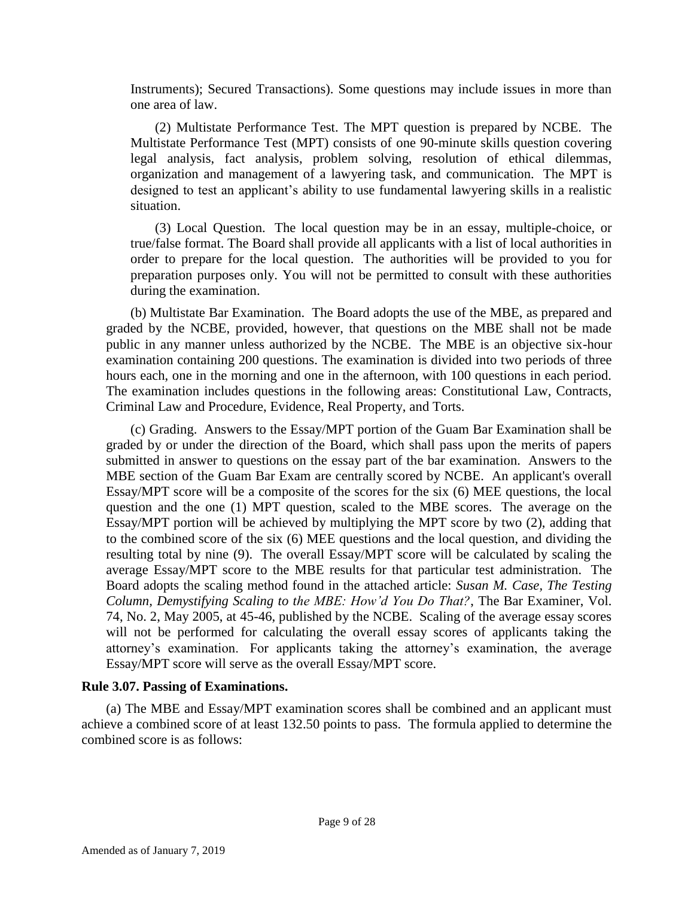Instruments); Secured Transactions). Some questions may include issues in more than one area of law.

(2) Multistate Performance Test. The MPT question is prepared by NCBE. The Multistate Performance Test (MPT) consists of one 90-minute skills question covering legal analysis, fact analysis, problem solving, resolution of ethical dilemmas, organization and management of a lawyering task, and communication. The MPT is designed to test an applicant's ability to use fundamental lawyering skills in a realistic situation.

(3) Local Question. The local question may be in an essay, multiple-choice, or true/false format. The Board shall provide all applicants with a list of local authorities in order to prepare for the local question. The authorities will be provided to you for preparation purposes only. You will not be permitted to consult with these authorities during the examination.

(b) Multistate Bar Examination. The Board adopts the use of the MBE, as prepared and graded by the NCBE, provided, however, that questions on the MBE shall not be made public in any manner unless authorized by the NCBE. The MBE is an objective six-hour examination containing 200 questions. The examination is divided into two periods of three hours each, one in the morning and one in the afternoon, with 100 questions in each period. The examination includes questions in the following areas: Constitutional Law, Contracts, Criminal Law and Procedure, Evidence, Real Property, and Torts.

(c) Grading. Answers to the Essay/MPT portion of the Guam Bar Examination shall be graded by or under the direction of the Board, which shall pass upon the merits of papers submitted in answer to questions on the essay part of the bar examination. Answers to the MBE section of the Guam Bar Exam are centrally scored by NCBE. An applicant's overall Essay/MPT score will be a composite of the scores for the six (6) MEE questions, the local question and the one (1) MPT question, scaled to the MBE scores. The average on the Essay/MPT portion will be achieved by multiplying the MPT score by two (2), adding that to the combined score of the six (6) MEE questions and the local question, and dividing the resulting total by nine (9). The overall Essay/MPT score will be calculated by scaling the average Essay/MPT score to the MBE results for that particular test administration. The Board adopts the scaling method found in the attached article: *Susan M. Case, The Testing Column, Demystifying Scaling to the MBE: How'd You Do That?*, The Bar Examiner, Vol. 74, No. 2, May 2005, at 45-46, published by the NCBE. Scaling of the average essay scores will not be performed for calculating the overall essay scores of applicants taking the attorney's examination. For applicants taking the attorney's examination, the average Essay/MPT score will serve as the overall Essay/MPT score.

#### **Rule 3.07. Passing of Examinations.**

(a) The MBE and Essay/MPT examination scores shall be combined and an applicant must achieve a combined score of at least 132.50 points to pass. The formula applied to determine the combined score is as follows: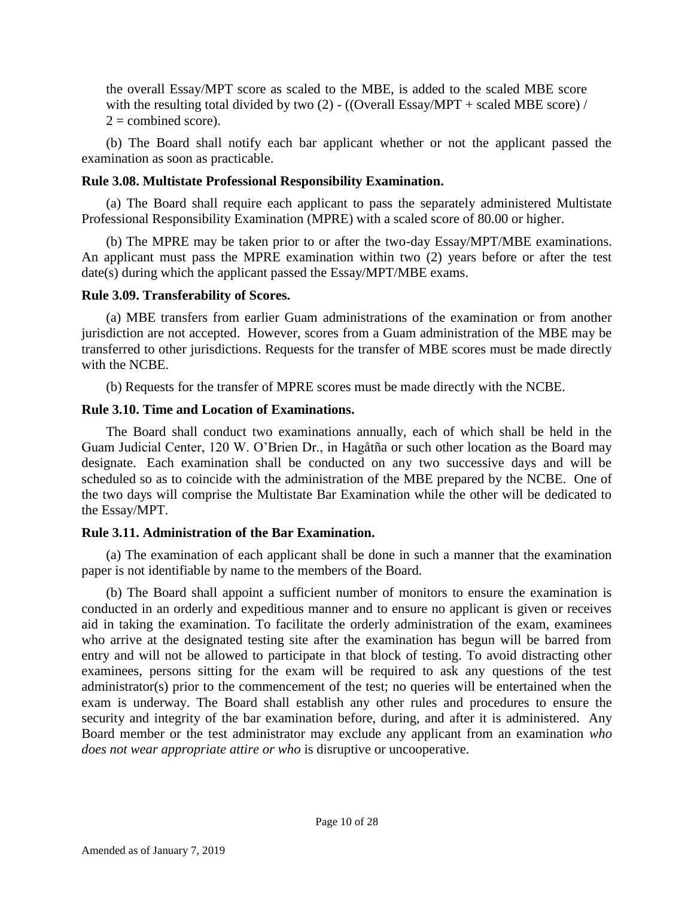the overall Essay/MPT score as scaled to the MBE, is added to the scaled MBE score with the resulting total divided by two  $(2)$  - ((Overall Essay/MPT + scaled MBE score) /  $2 =$  combined score).

(b) The Board shall notify each bar applicant whether or not the applicant passed the examination as soon as practicable.

### **Rule 3.08. Multistate Professional Responsibility Examination.**

(a) The Board shall require each applicant to pass the separately administered Multistate Professional Responsibility Examination (MPRE) with a scaled score of 80.00 or higher.

(b) The MPRE may be taken prior to or after the two-day Essay/MPT/MBE examinations. An applicant must pass the MPRE examination within two (2) years before or after the test date(s) during which the applicant passed the Essay/MPT/MBE exams.

#### **Rule 3.09. Transferability of Scores.**

(a) MBE transfers from earlier Guam administrations of the examination or from another jurisdiction are not accepted. However, scores from a Guam administration of the MBE may be transferred to other jurisdictions. Requests for the transfer of MBE scores must be made directly with the NCBE.

(b) Requests for the transfer of MPRE scores must be made directly with the NCBE.

### **Rule 3.10. Time and Location of Examinations.**

The Board shall conduct two examinations annually, each of which shall be held in the Guam Judicial Center, 120 W. O'Brien Dr., in Hagåtña or such other location as the Board may designate. Each examination shall be conducted on any two successive days and will be scheduled so as to coincide with the administration of the MBE prepared by the NCBE. One of the two days will comprise the Multistate Bar Examination while the other will be dedicated to the Essay/MPT.

### **Rule 3.11. Administration of the Bar Examination.**

(a) The examination of each applicant shall be done in such a manner that the examination paper is not identifiable by name to the members of the Board.

(b) The Board shall appoint a sufficient number of monitors to ensure the examination is conducted in an orderly and expeditious manner and to ensure no applicant is given or receives aid in taking the examination. To facilitate the orderly administration of the exam, examinees who arrive at the designated testing site after the examination has begun will be barred from entry and will not be allowed to participate in that block of testing. To avoid distracting other examinees, persons sitting for the exam will be required to ask any questions of the test administrator(s) prior to the commencement of the test; no queries will be entertained when the exam is underway. The Board shall establish any other rules and procedures to ensure the security and integrity of the bar examination before, during, and after it is administered. Any Board member or the test administrator may exclude any applicant from an examination *who does not wear appropriate attire or who* is disruptive or uncooperative.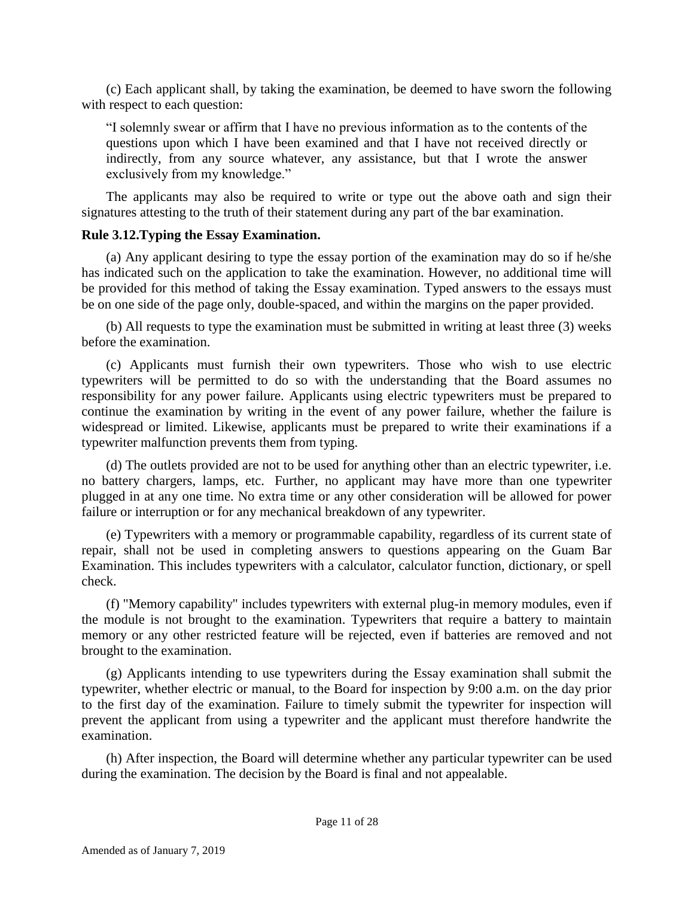(c) Each applicant shall, by taking the examination, be deemed to have sworn the following with respect to each question:

"I solemnly swear or affirm that I have no previous information as to the contents of the questions upon which I have been examined and that I have not received directly or indirectly, from any source whatever, any assistance, but that I wrote the answer exclusively from my knowledge."

The applicants may also be required to write or type out the above oath and sign their signatures attesting to the truth of their statement during any part of the bar examination.

### **Rule 3.12.Typing the Essay Examination.**

(a) Any applicant desiring to type the essay portion of the examination may do so if he/she has indicated such on the application to take the examination. However, no additional time will be provided for this method of taking the Essay examination. Typed answers to the essays must be on one side of the page only, double-spaced, and within the margins on the paper provided.

(b) All requests to type the examination must be submitted in writing at least three (3) weeks before the examination.

(c) Applicants must furnish their own typewriters. Those who wish to use electric typewriters will be permitted to do so with the understanding that the Board assumes no responsibility for any power failure. Applicants using electric typewriters must be prepared to continue the examination by writing in the event of any power failure, whether the failure is widespread or limited. Likewise, applicants must be prepared to write their examinations if a typewriter malfunction prevents them from typing.

(d) The outlets provided are not to be used for anything other than an electric typewriter, i.e. no battery chargers, lamps, etc. Further, no applicant may have more than one typewriter plugged in at any one time. No extra time or any other consideration will be allowed for power failure or interruption or for any mechanical breakdown of any typewriter.

(e) Typewriters with a memory or programmable capability, regardless of its current state of repair, shall not be used in completing answers to questions appearing on the Guam Bar Examination. This includes typewriters with a calculator, calculator function, dictionary, or spell check.

(f) "Memory capability" includes typewriters with external plug-in memory modules, even if the module is not brought to the examination. Typewriters that require a battery to maintain memory or any other restricted feature will be rejected, even if batteries are removed and not brought to the examination.

(g) Applicants intending to use typewriters during the Essay examination shall submit the typewriter, whether electric or manual, to the Board for inspection by 9:00 a.m. on the day prior to the first day of the examination. Failure to timely submit the typewriter for inspection will prevent the applicant from using a typewriter and the applicant must therefore handwrite the examination.

(h) After inspection, the Board will determine whether any particular typewriter can be used during the examination. The decision by the Board is final and not appealable.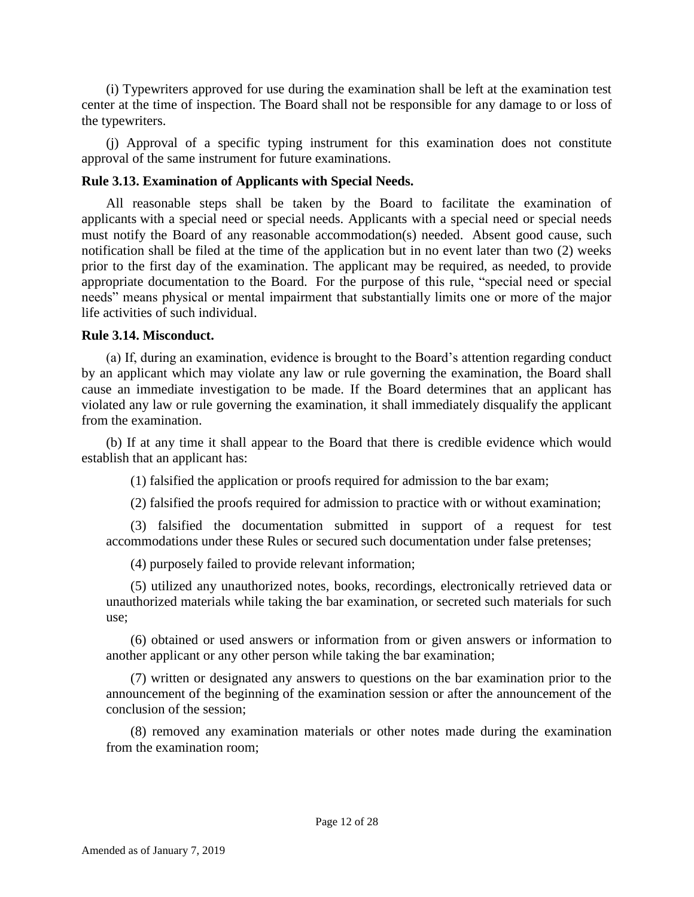(i) Typewriters approved for use during the examination shall be left at the examination test center at the time of inspection. The Board shall not be responsible for any damage to or loss of the typewriters.

(j) Approval of a specific typing instrument for this examination does not constitute approval of the same instrument for future examinations.

### **Rule 3.13. Examination of Applicants with Special Needs.**

All reasonable steps shall be taken by the Board to facilitate the examination of applicants with a special need or special needs. Applicants with a special need or special needs must notify the Board of any reasonable accommodation(s) needed. Absent good cause, such notification shall be filed at the time of the application but in no event later than two (2) weeks prior to the first day of the examination. The applicant may be required, as needed, to provide appropriate documentation to the Board. For the purpose of this rule, "special need or special needs" means physical or mental impairment that substantially limits one or more of the major life activities of such individual.

#### **Rule 3.14. Misconduct.**

(a) If, during an examination, evidence is brought to the Board's attention regarding conduct by an applicant which may violate any law or rule governing the examination, the Board shall cause an immediate investigation to be made. If the Board determines that an applicant has violated any law or rule governing the examination, it shall immediately disqualify the applicant from the examination.

(b) If at any time it shall appear to the Board that there is credible evidence which would establish that an applicant has:

(1) falsified the application or proofs required for admission to the bar exam;

(2) falsified the proofs required for admission to practice with or without examination;

(3) falsified the documentation submitted in support of a request for test accommodations under these Rules or secured such documentation under false pretenses;

(4) purposely failed to provide relevant information;

(5) utilized any unauthorized notes, books, recordings, electronically retrieved data or unauthorized materials while taking the bar examination, or secreted such materials for such use;

(6) obtained or used answers or information from or given answers or information to another applicant or any other person while taking the bar examination;

(7) written or designated any answers to questions on the bar examination prior to the announcement of the beginning of the examination session or after the announcement of the conclusion of the session;

(8) removed any examination materials or other notes made during the examination from the examination room;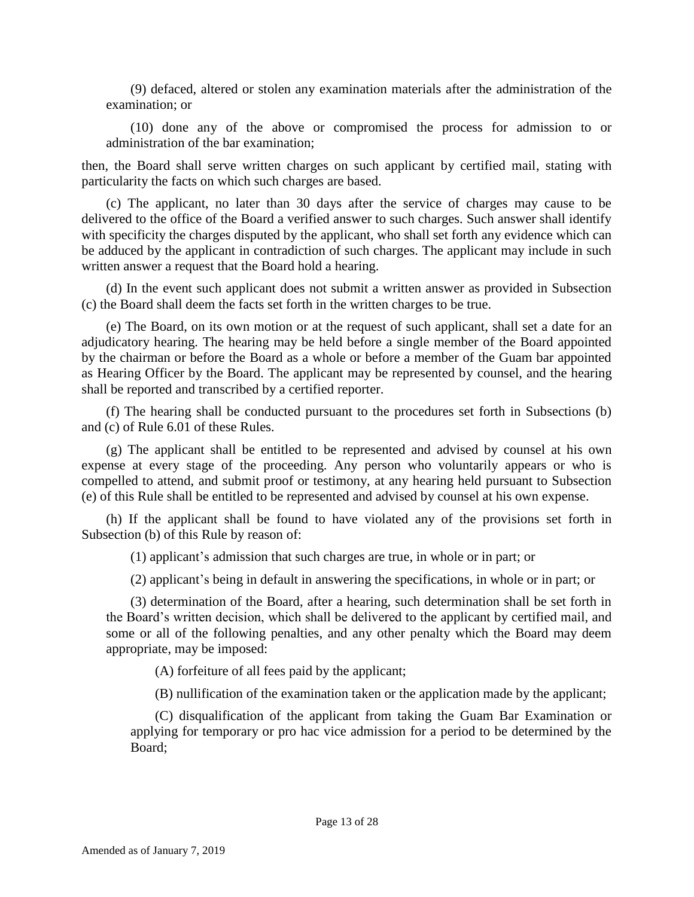(9) defaced, altered or stolen any examination materials after the administration of the examination; or

(10) done any of the above or compromised the process for admission to or administration of the bar examination;

then, the Board shall serve written charges on such applicant by certified mail, stating with particularity the facts on which such charges are based.

(c) The applicant, no later than 30 days after the service of charges may cause to be delivered to the office of the Board a verified answer to such charges. Such answer shall identify with specificity the charges disputed by the applicant, who shall set forth any evidence which can be adduced by the applicant in contradiction of such charges. The applicant may include in such written answer a request that the Board hold a hearing.

(d) In the event such applicant does not submit a written answer as provided in Subsection (c) the Board shall deem the facts set forth in the written charges to be true.

(e) The Board, on its own motion or at the request of such applicant, shall set a date for an adjudicatory hearing. The hearing may be held before a single member of the Board appointed by the chairman or before the Board as a whole or before a member of the Guam bar appointed as Hearing Officer by the Board. The applicant may be represented by counsel, and the hearing shall be reported and transcribed by a certified reporter.

(f) The hearing shall be conducted pursuant to the procedures set forth in Subsections (b) and (c) of Rule 6.01 of these Rules.

(g) The applicant shall be entitled to be represented and advised by counsel at his own expense at every stage of the proceeding. Any person who voluntarily appears or who is compelled to attend, and submit proof or testimony, at any hearing held pursuant to Subsection (e) of this Rule shall be entitled to be represented and advised by counsel at his own expense.

(h) If the applicant shall be found to have violated any of the provisions set forth in Subsection (b) of this Rule by reason of:

(1) applicant's admission that such charges are true, in whole or in part; or

(2) applicant's being in default in answering the specifications, in whole or in part; or

(3) determination of the Board, after a hearing, such determination shall be set forth in the Board's written decision, which shall be delivered to the applicant by certified mail, and some or all of the following penalties, and any other penalty which the Board may deem appropriate, may be imposed:

(A) forfeiture of all fees paid by the applicant;

(B) nullification of the examination taken or the application made by the applicant;

(C) disqualification of the applicant from taking the Guam Bar Examination or applying for temporary or pro hac vice admission for a period to be determined by the Board;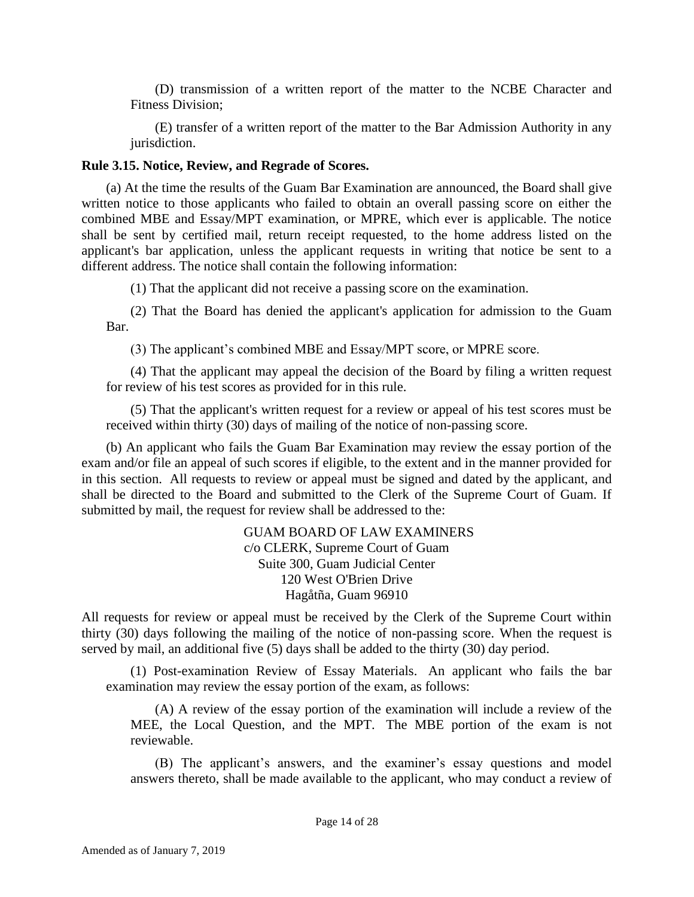(D) transmission of a written report of the matter to the NCBE Character and Fitness Division;

(E) transfer of a written report of the matter to the Bar Admission Authority in any jurisdiction.

#### **Rule 3.15. Notice, Review, and Regrade of Scores.**

(a) At the time the results of the Guam Bar Examination are announced, the Board shall give written notice to those applicants who failed to obtain an overall passing score on either the combined MBE and Essay/MPT examination, or MPRE, which ever is applicable. The notice shall be sent by certified mail, return receipt requested, to the home address listed on the applicant's bar application, unless the applicant requests in writing that notice be sent to a different address. The notice shall contain the following information:

(1) That the applicant did not receive a passing score on the examination.

(2) That the Board has denied the applicant's application for admission to the Guam Bar.

(3) The applicant's combined MBE and Essay/MPT score, or MPRE score.

(4) That the applicant may appeal the decision of the Board by filing a written request for review of his test scores as provided for in this rule.

(5) That the applicant's written request for a review or appeal of his test scores must be received within thirty (30) days of mailing of the notice of non-passing score.

(b) An applicant who fails the Guam Bar Examination may review the essay portion of the exam and/or file an appeal of such scores if eligible, to the extent and in the manner provided for in this section. All requests to review or appeal must be signed and dated by the applicant, and shall be directed to the Board and submitted to the Clerk of the Supreme Court of Guam. If submitted by mail, the request for review shall be addressed to the:

> GUAM BOARD OF LAW EXAMINERS c/o CLERK, Supreme Court of Guam Suite 300, Guam Judicial Center 120 West O'Brien Drive Hagåtña, Guam 96910

All requests for review or appeal must be received by the Clerk of the Supreme Court within thirty (30) days following the mailing of the notice of non-passing score. When the request is served by mail, an additional five (5) days shall be added to the thirty (30) day period.

(1) Post-examination Review of Essay Materials. An applicant who fails the bar examination may review the essay portion of the exam, as follows:

(A) A review of the essay portion of the examination will include a review of the MEE, the Local Question, and the MPT. The MBE portion of the exam is not reviewable.

(B) The applicant's answers, and the examiner's essay questions and model answers thereto, shall be made available to the applicant, who may conduct a review of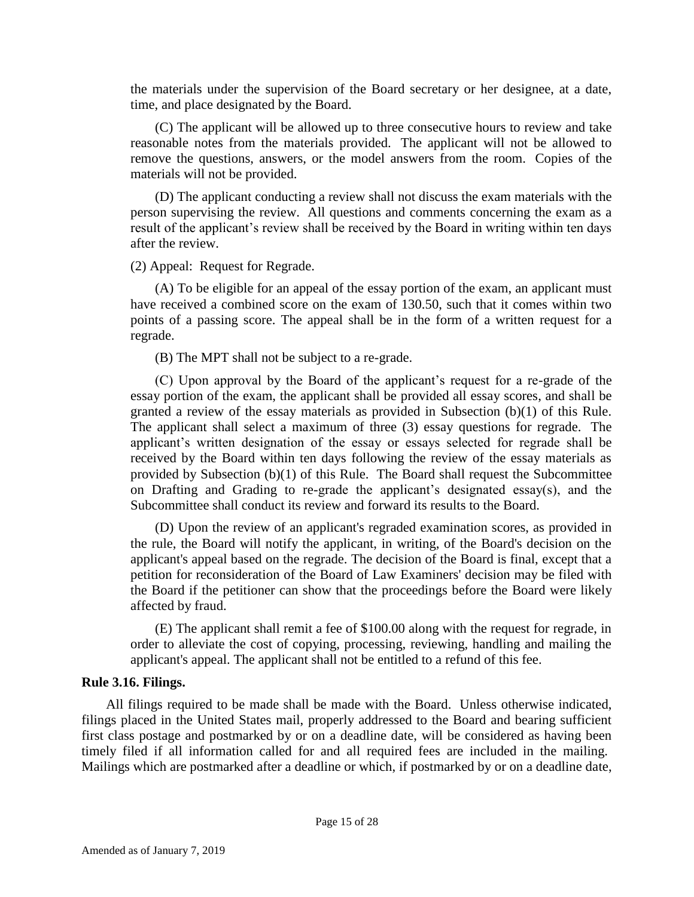the materials under the supervision of the Board secretary or her designee, at a date, time, and place designated by the Board.

(C) The applicant will be allowed up to three consecutive hours to review and take reasonable notes from the materials provided. The applicant will not be allowed to remove the questions, answers, or the model answers from the room. Copies of the materials will not be provided.

(D) The applicant conducting a review shall not discuss the exam materials with the person supervising the review. All questions and comments concerning the exam as a result of the applicant's review shall be received by the Board in writing within ten days after the review.

(2) Appeal: Request for Regrade.

(A) To be eligible for an appeal of the essay portion of the exam, an applicant must have received a combined score on the exam of 130.50, such that it comes within two points of a passing score. The appeal shall be in the form of a written request for a regrade.

(B) The MPT shall not be subject to a re-grade.

(C) Upon approval by the Board of the applicant's request for a re-grade of the essay portion of the exam, the applicant shall be provided all essay scores, and shall be granted a review of the essay materials as provided in Subsection (b)(1) of this Rule. The applicant shall select a maximum of three (3) essay questions for regrade. The applicant's written designation of the essay or essays selected for regrade shall be received by the Board within ten days following the review of the essay materials as provided by Subsection (b)(1) of this Rule. The Board shall request the Subcommittee on Drafting and Grading to re-grade the applicant's designated essay(s), and the Subcommittee shall conduct its review and forward its results to the Board.

(D) Upon the review of an applicant's regraded examination scores, as provided in the rule, the Board will notify the applicant, in writing, of the Board's decision on the applicant's appeal based on the regrade. The decision of the Board is final, except that a petition for reconsideration of the Board of Law Examiners' decision may be filed with the Board if the petitioner can show that the proceedings before the Board were likely affected by fraud.

(E) The applicant shall remit a fee of \$100.00 along with the request for regrade, in order to alleviate the cost of copying, processing, reviewing, handling and mailing the applicant's appeal. The applicant shall not be entitled to a refund of this fee.

### **Rule 3.16. Filings.**

All filings required to be made shall be made with the Board. Unless otherwise indicated, filings placed in the United States mail, properly addressed to the Board and bearing sufficient first class postage and postmarked by or on a deadline date, will be considered as having been timely filed if all information called for and all required fees are included in the mailing. Mailings which are postmarked after a deadline or which, if postmarked by or on a deadline date,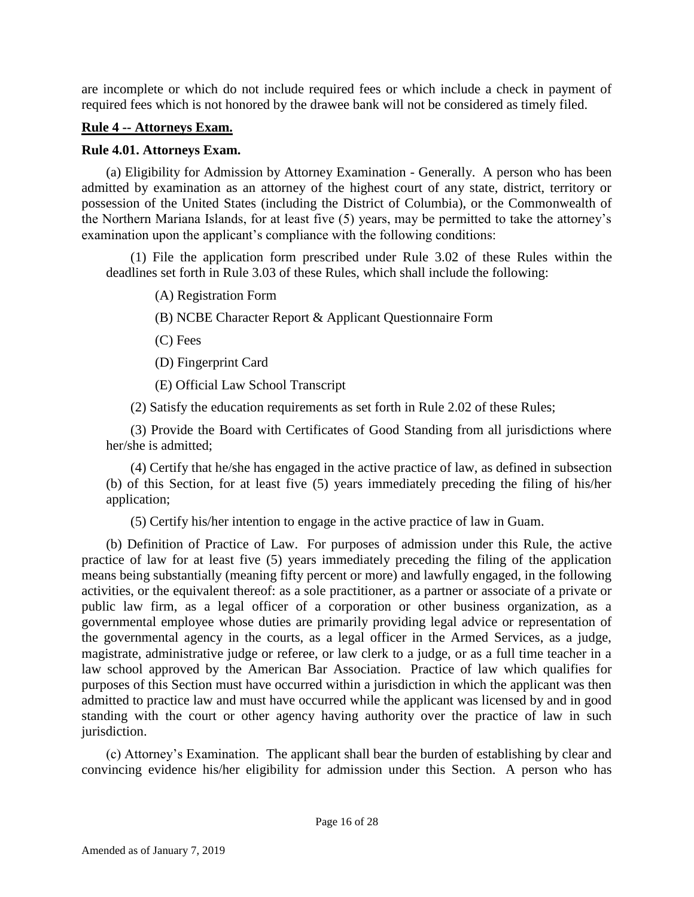are incomplete or which do not include required fees or which include a check in payment of required fees which is not honored by the drawee bank will not be considered as timely filed.

### **Rule 4 -- Attorneys Exam.**

### **Rule 4.01. Attorneys Exam.**

(a) Eligibility for Admission by Attorney Examination - Generally. A person who has been admitted by examination as an attorney of the highest court of any state, district, territory or possession of the United States (including the District of Columbia), or the Commonwealth of the Northern Mariana Islands, for at least five (5) years, may be permitted to take the attorney's examination upon the applicant's compliance with the following conditions:

(1) File the application form prescribed under Rule 3.02 of these Rules within the deadlines set forth in Rule 3.03 of these Rules, which shall include the following:

(A) Registration Form

(B) NCBE Character Report & Applicant Questionnaire Form

(C) Fees

(D) Fingerprint Card

(E) Official Law School Transcript

(2) Satisfy the education requirements as set forth in Rule 2.02 of these Rules;

(3) Provide the Board with Certificates of Good Standing from all jurisdictions where her/she is admitted;

(4) Certify that he/she has engaged in the active practice of law, as defined in subsection (b) of this Section, for at least five (5) years immediately preceding the filing of his/her application;

(5) Certify his/her intention to engage in the active practice of law in Guam.

(b) Definition of Practice of Law. For purposes of admission under this Rule, the active practice of law for at least five (5) years immediately preceding the filing of the application means being substantially (meaning fifty percent or more) and lawfully engaged, in the following activities, or the equivalent thereof: as a sole practitioner, as a partner or associate of a private or public law firm, as a legal officer of a corporation or other business organization, as a governmental employee whose duties are primarily providing legal advice or representation of the governmental agency in the courts, as a legal officer in the Armed Services, as a judge, magistrate, administrative judge or referee, or law clerk to a judge, or as a full time teacher in a law school approved by the American Bar Association. Practice of law which qualifies for purposes of this Section must have occurred within a jurisdiction in which the applicant was then admitted to practice law and must have occurred while the applicant was licensed by and in good standing with the court or other agency having authority over the practice of law in such jurisdiction.

(c) Attorney's Examination. The applicant shall bear the burden of establishing by clear and convincing evidence his/her eligibility for admission under this Section. A person who has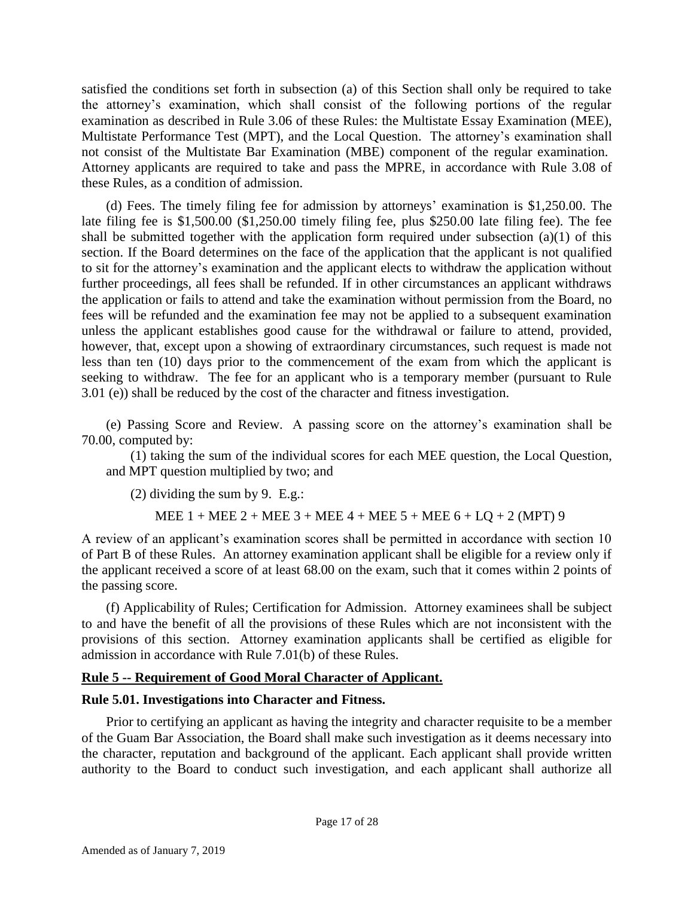satisfied the conditions set forth in subsection (a) of this Section shall only be required to take the attorney's examination, which shall consist of the following portions of the regular examination as described in Rule 3.06 of these Rules: the Multistate Essay Examination (MEE), Multistate Performance Test (MPT), and the Local Question. The attorney's examination shall not consist of the Multistate Bar Examination (MBE) component of the regular examination. Attorney applicants are required to take and pass the MPRE, in accordance with Rule 3.08 of these Rules, as a condition of admission.

(d) Fees. The timely filing fee for admission by attorneys' examination is \$1,250.00. The late filing fee is \$1,500.00 (\$1,250.00 timely filing fee, plus \$250.00 late filing fee). The fee shall be submitted together with the application form required under subsection (a)(1) of this section. If the Board determines on the face of the application that the applicant is not qualified to sit for the attorney's examination and the applicant elects to withdraw the application without further proceedings, all fees shall be refunded. If in other circumstances an applicant withdraws the application or fails to attend and take the examination without permission from the Board, no fees will be refunded and the examination fee may not be applied to a subsequent examination unless the applicant establishes good cause for the withdrawal or failure to attend, provided, however, that, except upon a showing of extraordinary circumstances, such request is made not less than ten (10) days prior to the commencement of the exam from which the applicant is seeking to withdraw. The fee for an applicant who is a temporary member (pursuant to Rule 3.01 (e)) shall be reduced by the cost of the character and fitness investigation.

(e) Passing Score and Review. A passing score on the attorney's examination shall be 70.00, computed by:

(1) taking the sum of the individual scores for each MEE question, the Local Question, and MPT question multiplied by two; and

(2) dividing the sum by 9. E.g.:

MEE  $1 + \text{MEE } 2 + \text{MEE } 3 + \text{MEE } 4 + \text{MEE } 5 + \text{MEE } 6 + \text{LQ} + 2 \text{ (MPT)} 9$ 

A review of an applicant's examination scores shall be permitted in accordance with section 10 of Part B of these Rules. An attorney examination applicant shall be eligible for a review only if the applicant received a score of at least 68.00 on the exam, such that it comes within 2 points of the passing score.

(f) Applicability of Rules; Certification for Admission. Attorney examinees shall be subject to and have the benefit of all the provisions of these Rules which are not inconsistent with the provisions of this section. Attorney examination applicants shall be certified as eligible for admission in accordance with Rule 7.01(b) of these Rules.

### **Rule 5 -- Requirement of Good Moral Character of Applicant.**

### **Rule 5.01. Investigations into Character and Fitness.**

Prior to certifying an applicant as having the integrity and character requisite to be a member of the Guam Bar Association, the Board shall make such investigation as it deems necessary into the character, reputation and background of the applicant. Each applicant shall provide written authority to the Board to conduct such investigation, and each applicant shall authorize all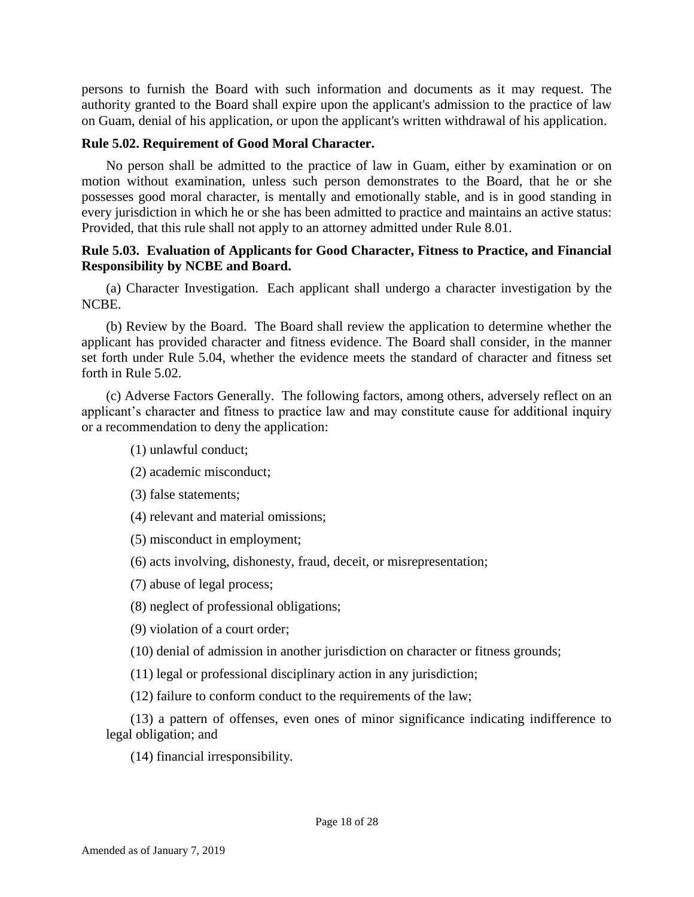persons to furnish the Board with such information and documents as it may request. The authority granted to the Board shall expire upon the applicant's admission to the practice of law on Guam, denial of his application, or upon the applicant's written withdrawal of his application.

### **Rule 5.02. Requirement of Good Moral Character.**

No person shall be admitted to the practice of law in Guam, either by examination or on motion without examination, unless such person demonstrates to the Board, that he or she possesses good moral character, is mentally and emotionally stable, and is in good standing in every jurisdiction in which he or she has been admitted to practice and maintains an active status: Provided, that this rule shall not apply to an attorney admitted under Rule 8.01.

### **Rule 5.03. Evaluation of Applicants for Good Character, Fitness to Practice, and Financial Responsibility by NCBE and Board.**

(a) Character Investigation. Each applicant shall undergo a character investigation by the NCBE.

(b) Review by the Board. The Board shall review the application to determine whether the applicant has provided character and fitness evidence. The Board shall consider, in the manner set forth under Rule 5.04, whether the evidence meets the standard of character and fitness set forth in Rule 5.02.

(c) Adverse Factors Generally. The following factors, among others, adversely reflect on an applicant's character and fitness to practice law and may constitute cause for additional inquiry or a recommendation to deny the application:

(1) unlawful conduct;

- (2) academic misconduct;
- (3) false statements;
- (4) relevant and material omissions;
- (5) misconduct in employment;
- (6) acts involving, dishonesty, fraud, deceit, or misrepresentation;
- (7) abuse of legal process;
- (8) neglect of professional obligations;
- (9) violation of a court order;
- (10) denial of admission in another jurisdiction on character or fitness grounds;
- (11) legal or professional disciplinary action in any jurisdiction;
- (12) failure to conform conduct to the requirements of the law;

(13) a pattern of offenses, even ones of minor significance indicating indifference to legal obligation; and

(14) financial irresponsibility.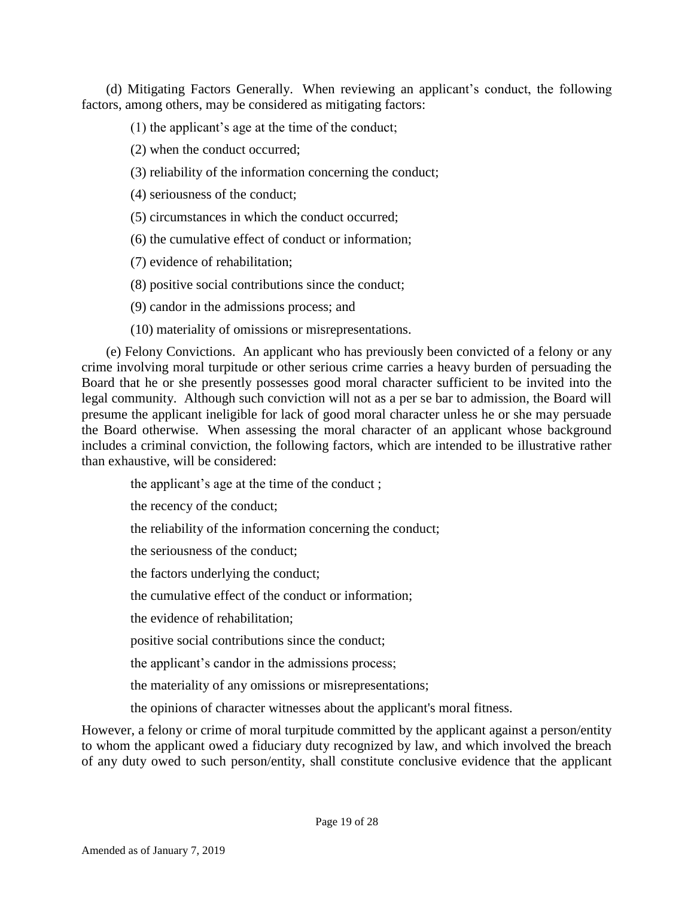(d) Mitigating Factors Generally. When reviewing an applicant's conduct, the following factors, among others, may be considered as mitigating factors:

(1) the applicant's age at the time of the conduct;

(2) when the conduct occurred;

(3) reliability of the information concerning the conduct;

(4) seriousness of the conduct;

- (5) circumstances in which the conduct occurred;
- (6) the cumulative effect of conduct or information;

(7) evidence of rehabilitation;

- (8) positive social contributions since the conduct;
- (9) candor in the admissions process; and
- (10) materiality of omissions or misrepresentations.

(e) Felony Convictions. An applicant who has previously been convicted of a felony or any crime involving moral turpitude or other serious crime carries a heavy burden of persuading the Board that he or she presently possesses good moral character sufficient to be invited into the legal community. Although such conviction will not as a per se bar to admission, the Board will presume the applicant ineligible for lack of good moral character unless he or she may persuade the Board otherwise. When assessing the moral character of an applicant whose background includes a criminal conviction, the following factors, which are intended to be illustrative rather than exhaustive, will be considered:

the applicant's age at the time of the conduct ;

the recency of the conduct;

the reliability of the information concerning the conduct;

the seriousness of the conduct;

the factors underlying the conduct;

the cumulative effect of the conduct or information;

the evidence of rehabilitation;

positive social contributions since the conduct;

the applicant's candor in the admissions process;

the materiality of any omissions or misrepresentations;

the opinions of character witnesses about the applicant's moral fitness.

However, a felony or crime of moral turpitude committed by the applicant against a person/entity to whom the applicant owed a fiduciary duty recognized by law, and which involved the breach of any duty owed to such person/entity, shall constitute conclusive evidence that the applicant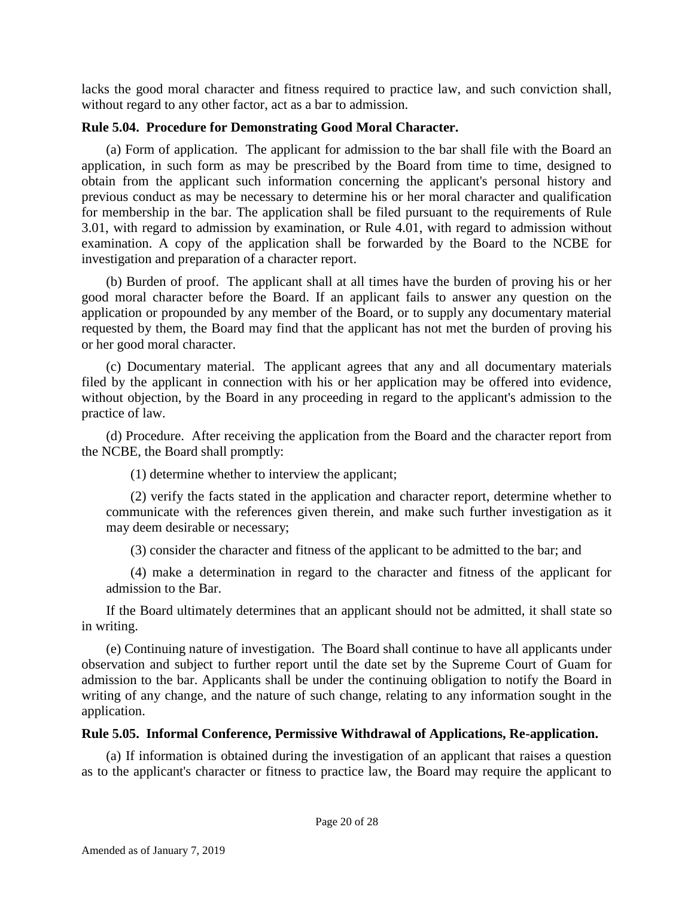lacks the good moral character and fitness required to practice law, and such conviction shall, without regard to any other factor, act as a bar to admission.

### **Rule 5.04. Procedure for Demonstrating Good Moral Character.**

(a) Form of application. The applicant for admission to the bar shall file with the Board an application, in such form as may be prescribed by the Board from time to time, designed to obtain from the applicant such information concerning the applicant's personal history and previous conduct as may be necessary to determine his or her moral character and qualification for membership in the bar. The application shall be filed pursuant to the requirements of Rule 3.01, with regard to admission by examination, or Rule 4.01, with regard to admission without examination. A copy of the application shall be forwarded by the Board to the NCBE for investigation and preparation of a character report.

(b) Burden of proof. The applicant shall at all times have the burden of proving his or her good moral character before the Board. If an applicant fails to answer any question on the application or propounded by any member of the Board, or to supply any documentary material requested by them, the Board may find that the applicant has not met the burden of proving his or her good moral character.

(c) Documentary material. The applicant agrees that any and all documentary materials filed by the applicant in connection with his or her application may be offered into evidence, without objection, by the Board in any proceeding in regard to the applicant's admission to the practice of law.

(d) Procedure. After receiving the application from the Board and the character report from the NCBE, the Board shall promptly:

(1) determine whether to interview the applicant;

(2) verify the facts stated in the application and character report, determine whether to communicate with the references given therein, and make such further investigation as it may deem desirable or necessary;

(3) consider the character and fitness of the applicant to be admitted to the bar; and

(4) make a determination in regard to the character and fitness of the applicant for admission to the Bar.

If the Board ultimately determines that an applicant should not be admitted, it shall state so in writing.

(e) Continuing nature of investigation. The Board shall continue to have all applicants under observation and subject to further report until the date set by the Supreme Court of Guam for admission to the bar. Applicants shall be under the continuing obligation to notify the Board in writing of any change, and the nature of such change, relating to any information sought in the application.

## **Rule 5.05. Informal Conference, Permissive Withdrawal of Applications, Re-application.**

(a) If information is obtained during the investigation of an applicant that raises a question as to the applicant's character or fitness to practice law, the Board may require the applicant to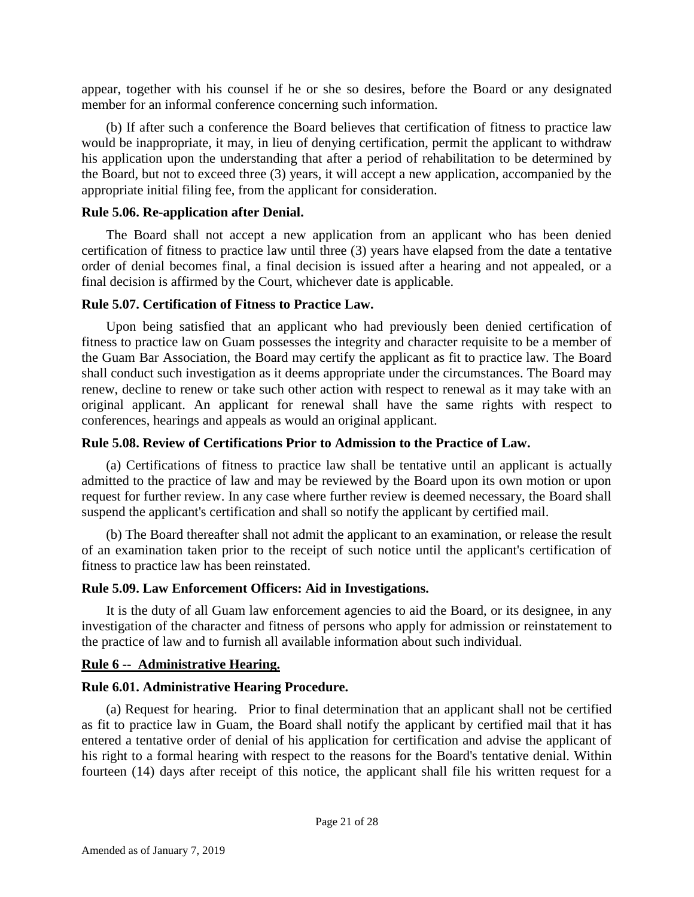appear, together with his counsel if he or she so desires, before the Board or any designated member for an informal conference concerning such information.

(b) If after such a conference the Board believes that certification of fitness to practice law would be inappropriate, it may, in lieu of denying certification, permit the applicant to withdraw his application upon the understanding that after a period of rehabilitation to be determined by the Board, but not to exceed three (3) years, it will accept a new application, accompanied by the appropriate initial filing fee, from the applicant for consideration.

### **Rule 5.06. Re-application after Denial.**

The Board shall not accept a new application from an applicant who has been denied certification of fitness to practice law until three (3) years have elapsed from the date a tentative order of denial becomes final, a final decision is issued after a hearing and not appealed, or a final decision is affirmed by the Court, whichever date is applicable.

### **Rule 5.07. Certification of Fitness to Practice Law.**

Upon being satisfied that an applicant who had previously been denied certification of fitness to practice law on Guam possesses the integrity and character requisite to be a member of the Guam Bar Association, the Board may certify the applicant as fit to practice law. The Board shall conduct such investigation as it deems appropriate under the circumstances. The Board may renew, decline to renew or take such other action with respect to renewal as it may take with an original applicant. An applicant for renewal shall have the same rights with respect to conferences, hearings and appeals as would an original applicant.

### **Rule 5.08. Review of Certifications Prior to Admission to the Practice of Law.**

(a) Certifications of fitness to practice law shall be tentative until an applicant is actually admitted to the practice of law and may be reviewed by the Board upon its own motion or upon request for further review. In any case where further review is deemed necessary, the Board shall suspend the applicant's certification and shall so notify the applicant by certified mail.

(b) The Board thereafter shall not admit the applicant to an examination, or release the result of an examination taken prior to the receipt of such notice until the applicant's certification of fitness to practice law has been reinstated.

### **Rule 5.09. Law Enforcement Officers: Aid in Investigations.**

It is the duty of all Guam law enforcement agencies to aid the Board, or its designee, in any investigation of the character and fitness of persons who apply for admission or reinstatement to the practice of law and to furnish all available information about such individual.

### **Rule 6 -- Administrative Hearing.**

### **Rule 6.01. Administrative Hearing Procedure.**

(a) Request for hearing. Prior to final determination that an applicant shall not be certified as fit to practice law in Guam, the Board shall notify the applicant by certified mail that it has entered a tentative order of denial of his application for certification and advise the applicant of his right to a formal hearing with respect to the reasons for the Board's tentative denial. Within fourteen (14) days after receipt of this notice, the applicant shall file his written request for a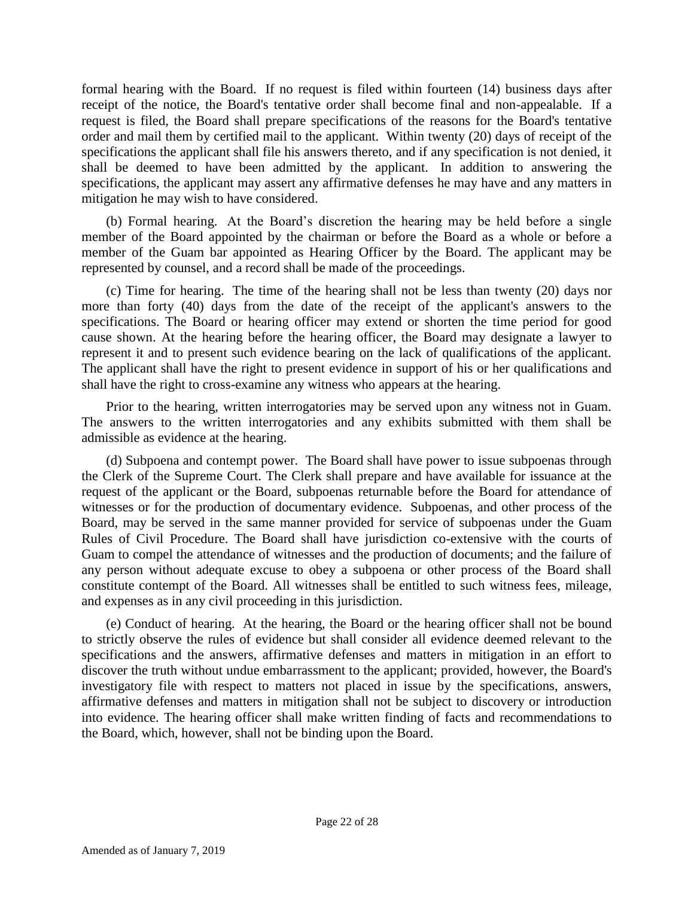formal hearing with the Board. If no request is filed within fourteen (14) business days after receipt of the notice, the Board's tentative order shall become final and non-appealable. If a request is filed, the Board shall prepare specifications of the reasons for the Board's tentative order and mail them by certified mail to the applicant. Within twenty (20) days of receipt of the specifications the applicant shall file his answers thereto, and if any specification is not denied, it shall be deemed to have been admitted by the applicant. In addition to answering the specifications, the applicant may assert any affirmative defenses he may have and any matters in mitigation he may wish to have considered.

(b) Formal hearing. At the Board's discretion the hearing may be held before a single member of the Board appointed by the chairman or before the Board as a whole or before a member of the Guam bar appointed as Hearing Officer by the Board. The applicant may be represented by counsel, and a record shall be made of the proceedings.

(c) Time for hearing. The time of the hearing shall not be less than twenty (20) days nor more than forty (40) days from the date of the receipt of the applicant's answers to the specifications. The Board or hearing officer may extend or shorten the time period for good cause shown. At the hearing before the hearing officer, the Board may designate a lawyer to represent it and to present such evidence bearing on the lack of qualifications of the applicant. The applicant shall have the right to present evidence in support of his or her qualifications and shall have the right to cross-examine any witness who appears at the hearing.

Prior to the hearing, written interrogatories may be served upon any witness not in Guam. The answers to the written interrogatories and any exhibits submitted with them shall be admissible as evidence at the hearing.

(d) Subpoena and contempt power. The Board shall have power to issue subpoenas through the Clerk of the Supreme Court. The Clerk shall prepare and have available for issuance at the request of the applicant or the Board, subpoenas returnable before the Board for attendance of witnesses or for the production of documentary evidence. Subpoenas, and other process of the Board, may be served in the same manner provided for service of subpoenas under the Guam Rules of Civil Procedure. The Board shall have jurisdiction co-extensive with the courts of Guam to compel the attendance of witnesses and the production of documents; and the failure of any person without adequate excuse to obey a subpoena or other process of the Board shall constitute contempt of the Board. All witnesses shall be entitled to such witness fees, mileage, and expenses as in any civil proceeding in this jurisdiction.

(e) Conduct of hearing. At the hearing, the Board or the hearing officer shall not be bound to strictly observe the rules of evidence but shall consider all evidence deemed relevant to the specifications and the answers, affirmative defenses and matters in mitigation in an effort to discover the truth without undue embarrassment to the applicant; provided, however, the Board's investigatory file with respect to matters not placed in issue by the specifications, answers, affirmative defenses and matters in mitigation shall not be subject to discovery or introduction into evidence. The hearing officer shall make written finding of facts and recommendations to the Board, which, however, shall not be binding upon the Board.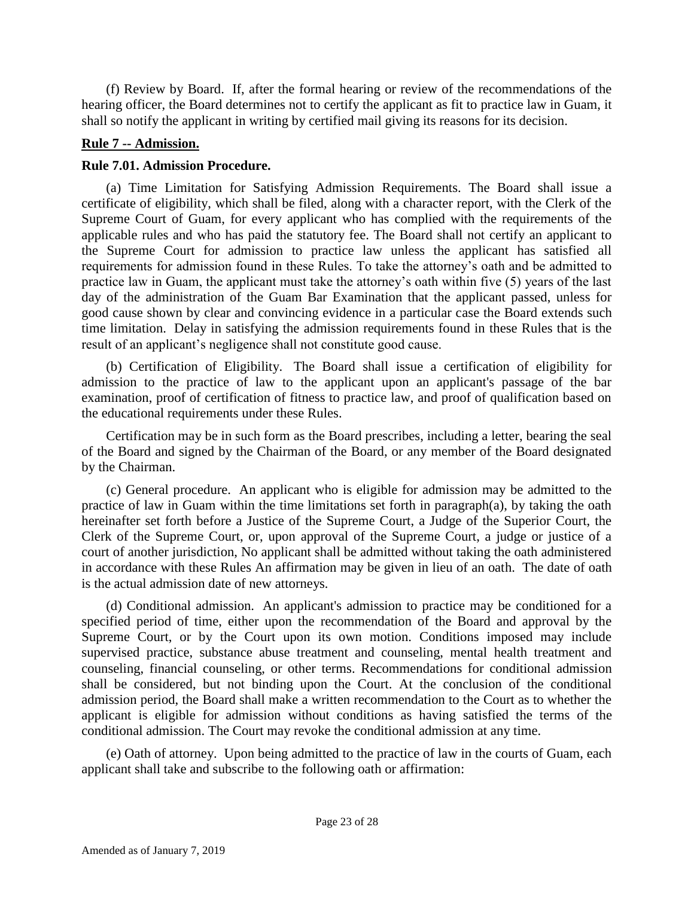(f) Review by Board. If, after the formal hearing or review of the recommendations of the hearing officer, the Board determines not to certify the applicant as fit to practice law in Guam, it shall so notify the applicant in writing by certified mail giving its reasons for its decision.

### **Rule 7 -- Admission.**

### **Rule 7.01. Admission Procedure.**

(a) Time Limitation for Satisfying Admission Requirements. The Board shall issue a certificate of eligibility, which shall be filed, along with a character report, with the Clerk of the Supreme Court of Guam, for every applicant who has complied with the requirements of the applicable rules and who has paid the statutory fee. The Board shall not certify an applicant to the Supreme Court for admission to practice law unless the applicant has satisfied all requirements for admission found in these Rules. To take the attorney's oath and be admitted to practice law in Guam, the applicant must take the attorney's oath within five (5) years of the last day of the administration of the Guam Bar Examination that the applicant passed, unless for good cause shown by clear and convincing evidence in a particular case the Board extends such time limitation. Delay in satisfying the admission requirements found in these Rules that is the result of an applicant's negligence shall not constitute good cause.

(b) Certification of Eligibility. The Board shall issue a certification of eligibility for admission to the practice of law to the applicant upon an applicant's passage of the bar examination, proof of certification of fitness to practice law, and proof of qualification based on the educational requirements under these Rules.

Certification may be in such form as the Board prescribes, including a letter, bearing the seal of the Board and signed by the Chairman of the Board, or any member of the Board designated by the Chairman.

(c) General procedure. An applicant who is eligible for admission may be admitted to the practice of law in Guam within the time limitations set forth in paragraph(a), by taking the oath hereinafter set forth before a Justice of the Supreme Court, a Judge of the Superior Court, the Clerk of the Supreme Court, or, upon approval of the Supreme Court, a judge or justice of a court of another jurisdiction, No applicant shall be admitted without taking the oath administered in accordance with these Rules An affirmation may be given in lieu of an oath. The date of oath is the actual admission date of new attorneys*.* 

(d) Conditional admission. An applicant's admission to practice may be conditioned for a specified period of time, either upon the recommendation of the Board and approval by the Supreme Court, or by the Court upon its own motion. Conditions imposed may include supervised practice, substance abuse treatment and counseling, mental health treatment and counseling, financial counseling, or other terms. Recommendations for conditional admission shall be considered, but not binding upon the Court. At the conclusion of the conditional admission period, the Board shall make a written recommendation to the Court as to whether the applicant is eligible for admission without conditions as having satisfied the terms of the conditional admission. The Court may revoke the conditional admission at any time.

(e) Oath of attorney. Upon being admitted to the practice of law in the courts of Guam, each applicant shall take and subscribe to the following oath or affirmation: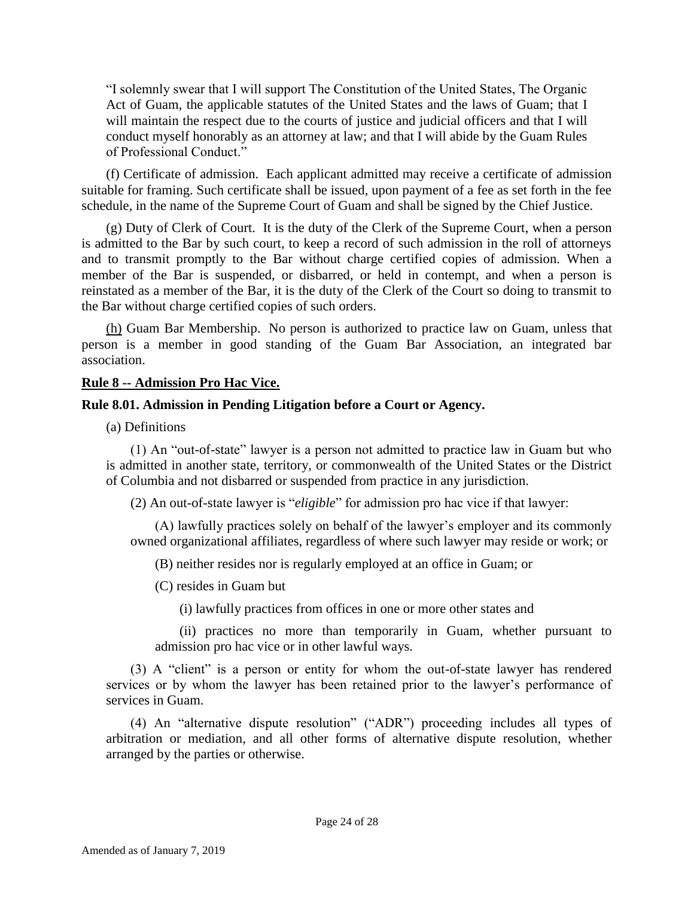"I solemnly swear that I will support The Constitution of the United States, The Organic Act of Guam, the applicable statutes of the United States and the laws of Guam; that I will maintain the respect due to the courts of justice and judicial officers and that I will conduct myself honorably as an attorney at law; and that I will abide by the Guam Rules of Professional Conduct."

(f) Certificate of admission. Each applicant admitted may receive a certificate of admission suitable for framing. Such certificate shall be issued, upon payment of a fee as set forth in the fee schedule, in the name of the Supreme Court of Guam and shall be signed by the Chief Justice.

(g) Duty of Clerk of Court. It is the duty of the Clerk of the Supreme Court, when a person is admitted to the Bar by such court, to keep a record of such admission in the roll of attorneys and to transmit promptly to the Bar without charge certified copies of admission. When a member of the Bar is suspended, or disbarred, or held in contempt, and when a person is reinstated as a member of the Bar, it is the duty of the Clerk of the Court so doing to transmit to the Bar without charge certified copies of such orders.

(h) Guam Bar Membership. No person is authorized to practice law on Guam, unless that person is a member in good standing of the Guam Bar Association, an integrated bar association.

### **Rule 8 -- Admission Pro Hac Vice.**

### **Rule 8.01. Admission in Pending Litigation before a Court or Agency.**

(a) Definitions

(1) An "out-of-state" lawyer is a person not admitted to practice law in Guam but who is admitted in another state, territory, or commonwealth of the United States or the District of Columbia and not disbarred or suspended from practice in any jurisdiction.

(2) An out-of-state lawyer is "*eligible*" for admission pro hac vice if that lawyer:

(A) lawfully practices solely on behalf of the lawyer's employer and its commonly owned organizational affiliates, regardless of where such lawyer may reside or work; or

(B) neither resides nor is regularly employed at an office in Guam; or

(C) resides in Guam but

(i) lawfully practices from offices in one or more other states and

(ii) practices no more than temporarily in Guam, whether pursuant to admission pro hac vice or in other lawful ways.

(3) A "client" is a person or entity for whom the out-of-state lawyer has rendered services or by whom the lawyer has been retained prior to the lawyer's performance of services in Guam.

(4) An "alternative dispute resolution" ("ADR") proceeding includes all types of arbitration or mediation, and all other forms of alternative dispute resolution, whether arranged by the parties or otherwise.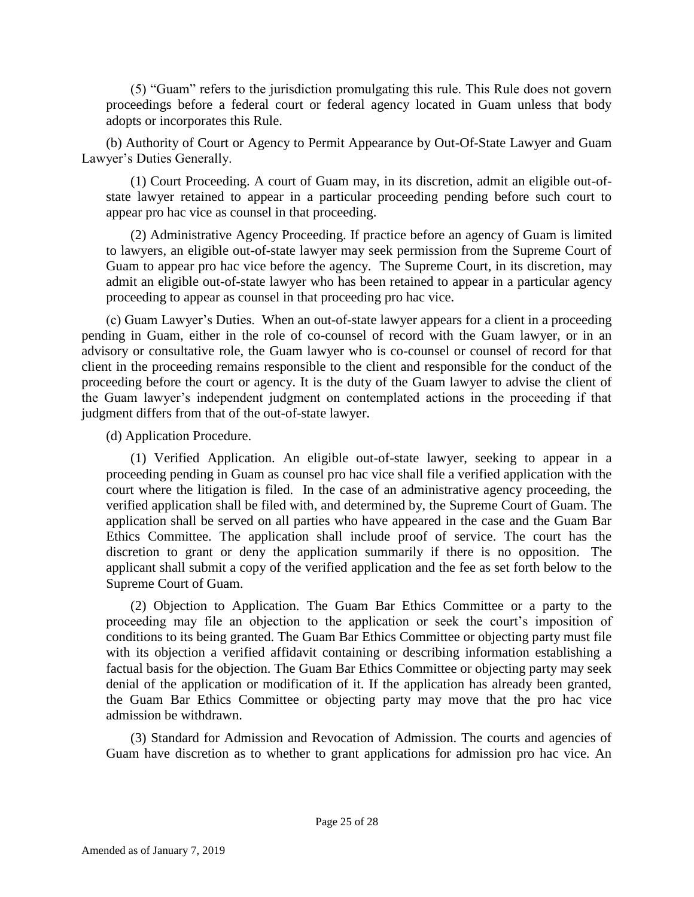(5) "Guam" refers to the jurisdiction promulgating this rule. This Rule does not govern proceedings before a federal court or federal agency located in Guam unless that body adopts or incorporates this Rule.

(b) Authority of Court or Agency to Permit Appearance by Out-Of-State Lawyer and Guam Lawyer's Duties Generally.

(1) Court Proceeding. A court of Guam may, in its discretion, admit an eligible out-ofstate lawyer retained to appear in a particular proceeding pending before such court to appear pro hac vice as counsel in that proceeding.

(2) Administrative Agency Proceeding. If practice before an agency of Guam is limited to lawyers, an eligible out-of-state lawyer may seek permission from the Supreme Court of Guam to appear pro hac vice before the agency. The Supreme Court, in its discretion, may admit an eligible out-of-state lawyer who has been retained to appear in a particular agency proceeding to appear as counsel in that proceeding pro hac vice.

(c) Guam Lawyer's Duties. When an out-of-state lawyer appears for a client in a proceeding pending in Guam, either in the role of co-counsel of record with the Guam lawyer, or in an advisory or consultative role, the Guam lawyer who is co-counsel or counsel of record for that client in the proceeding remains responsible to the client and responsible for the conduct of the proceeding before the court or agency. It is the duty of the Guam lawyer to advise the client of the Guam lawyer's independent judgment on contemplated actions in the proceeding if that judgment differs from that of the out-of-state lawyer.

(d) Application Procedure.

(1) Verified Application. An eligible out-of-state lawyer, seeking to appear in a proceeding pending in Guam as counsel pro hac vice shall file a verified application with the court where the litigation is filed. In the case of an administrative agency proceeding, the verified application shall be filed with, and determined by, the Supreme Court of Guam. The application shall be served on all parties who have appeared in the case and the Guam Bar Ethics Committee. The application shall include proof of service. The court has the discretion to grant or deny the application summarily if there is no opposition. The applicant shall submit a copy of the verified application and the fee as set forth below to the Supreme Court of Guam.

(2) Objection to Application. The Guam Bar Ethics Committee or a party to the proceeding may file an objection to the application or seek the court's imposition of conditions to its being granted. The Guam Bar Ethics Committee or objecting party must file with its objection a verified affidavit containing or describing information establishing a factual basis for the objection. The Guam Bar Ethics Committee or objecting party may seek denial of the application or modification of it. If the application has already been granted, the Guam Bar Ethics Committee or objecting party may move that the pro hac vice admission be withdrawn.

(3) Standard for Admission and Revocation of Admission. The courts and agencies of Guam have discretion as to whether to grant applications for admission pro hac vice. An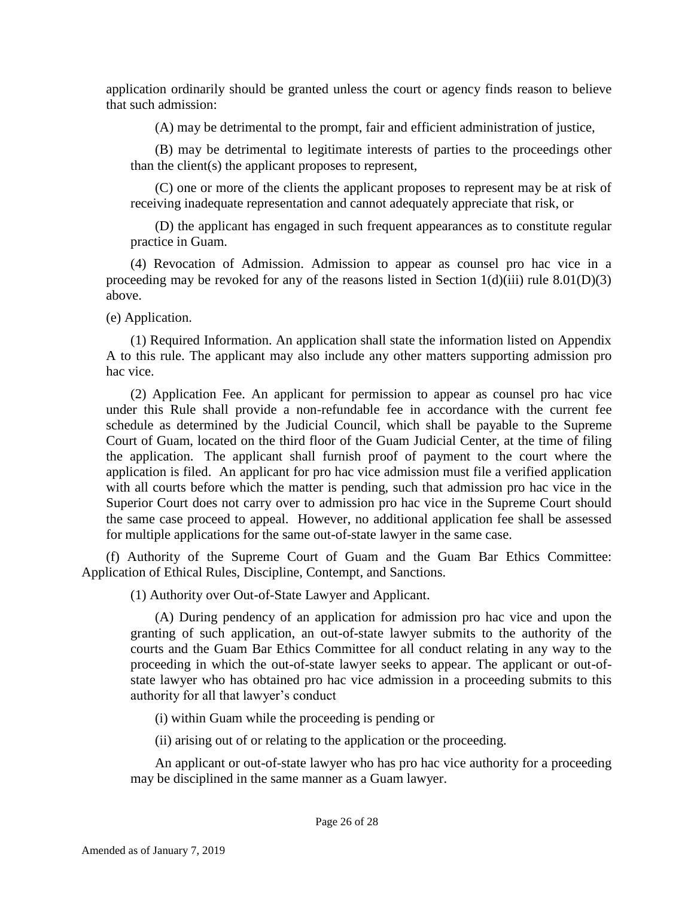application ordinarily should be granted unless the court or agency finds reason to believe that such admission:

(A) may be detrimental to the prompt, fair and efficient administration of justice,

(B) may be detrimental to legitimate interests of parties to the proceedings other than the client(s) the applicant proposes to represent,

(C) one or more of the clients the applicant proposes to represent may be at risk of receiving inadequate representation and cannot adequately appreciate that risk, or

(D) the applicant has engaged in such frequent appearances as to constitute regular practice in Guam.

(4) Revocation of Admission. Admission to appear as counsel pro hac vice in a proceeding may be revoked for any of the reasons listed in Section  $1(d)(iii)$  rule  $8.01(D)(3)$ above.

(e) Application.

(1) Required Information. An application shall state the information listed on Appendix A to this rule. The applicant may also include any other matters supporting admission pro hac vice.

(2) Application Fee. An applicant for permission to appear as counsel pro hac vice under this Rule shall provide a non-refundable fee in accordance with the current fee schedule as determined by the Judicial Council, which shall be payable to the Supreme Court of Guam, located on the third floor of the Guam Judicial Center, at the time of filing the application. The applicant shall furnish proof of payment to the court where the application is filed. An applicant for pro hac vice admission must file a verified application with all courts before which the matter is pending, such that admission pro hac vice in the Superior Court does not carry over to admission pro hac vice in the Supreme Court should the same case proceed to appeal. However, no additional application fee shall be assessed for multiple applications for the same out-of-state lawyer in the same case.

(f) Authority of the Supreme Court of Guam and the Guam Bar Ethics Committee: Application of Ethical Rules, Discipline, Contempt, and Sanctions.

(1) Authority over Out-of-State Lawyer and Applicant.

(A) During pendency of an application for admission pro hac vice and upon the granting of such application, an out-of-state lawyer submits to the authority of the courts and the Guam Bar Ethics Committee for all conduct relating in any way to the proceeding in which the out-of-state lawyer seeks to appear. The applicant or out-ofstate lawyer who has obtained pro hac vice admission in a proceeding submits to this authority for all that lawyer's conduct

(i) within Guam while the proceeding is pending or

(ii) arising out of or relating to the application or the proceeding.

An applicant or out-of-state lawyer who has pro hac vice authority for a proceeding may be disciplined in the same manner as a Guam lawyer.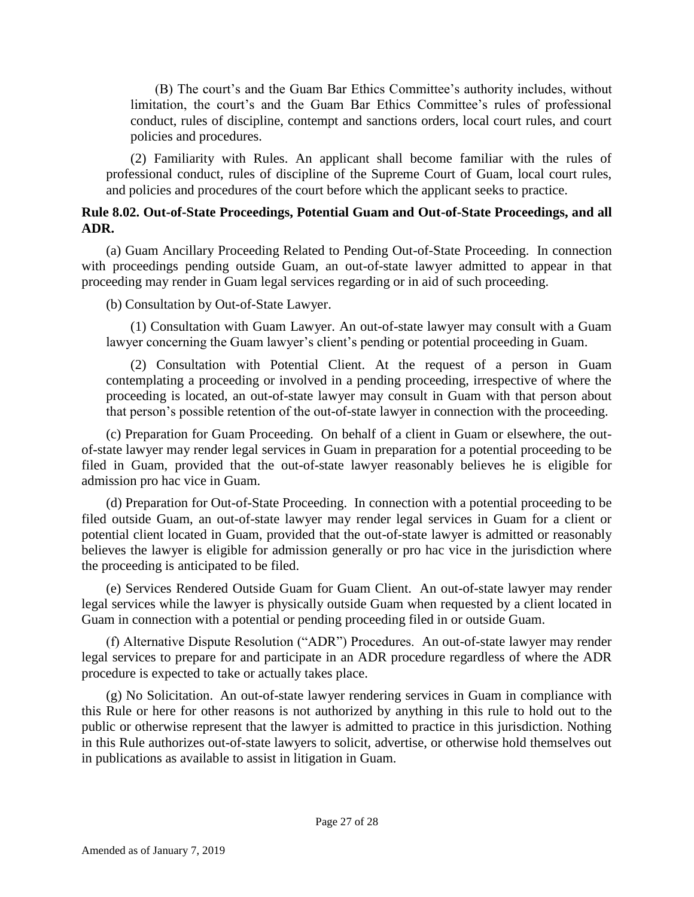(B) The court's and the Guam Bar Ethics Committee's authority includes, without limitation, the court's and the Guam Bar Ethics Committee's rules of professional conduct, rules of discipline, contempt and sanctions orders, local court rules, and court policies and procedures.

(2) Familiarity with Rules. An applicant shall become familiar with the rules of professional conduct, rules of discipline of the Supreme Court of Guam, local court rules, and policies and procedures of the court before which the applicant seeks to practice.

### **Rule 8.02. Out-of-State Proceedings, Potential Guam and Out-of-State Proceedings, and all ADR.**

(a) Guam Ancillary Proceeding Related to Pending Out-of-State Proceeding. In connection with proceedings pending outside Guam, an out-of-state lawyer admitted to appear in that proceeding may render in Guam legal services regarding or in aid of such proceeding.

(b) Consultation by Out-of-State Lawyer.

(1) Consultation with Guam Lawyer. An out-of-state lawyer may consult with a Guam lawyer concerning the Guam lawyer's client's pending or potential proceeding in Guam.

(2) Consultation with Potential Client. At the request of a person in Guam contemplating a proceeding or involved in a pending proceeding, irrespective of where the proceeding is located, an out-of-state lawyer may consult in Guam with that person about that person's possible retention of the out-of-state lawyer in connection with the proceeding.

(c) Preparation for Guam Proceeding. On behalf of a client in Guam or elsewhere, the outof-state lawyer may render legal services in Guam in preparation for a potential proceeding to be filed in Guam, provided that the out-of-state lawyer reasonably believes he is eligible for admission pro hac vice in Guam.

(d) Preparation for Out-of-State Proceeding. In connection with a potential proceeding to be filed outside Guam, an out-of-state lawyer may render legal services in Guam for a client or potential client located in Guam, provided that the out-of-state lawyer is admitted or reasonably believes the lawyer is eligible for admission generally or pro hac vice in the jurisdiction where the proceeding is anticipated to be filed.

(e) Services Rendered Outside Guam for Guam Client. An out-of-state lawyer may render legal services while the lawyer is physically outside Guam when requested by a client located in Guam in connection with a potential or pending proceeding filed in or outside Guam.

(f) Alternative Dispute Resolution ("ADR") Procedures. An out-of-state lawyer may render legal services to prepare for and participate in an ADR procedure regardless of where the ADR procedure is expected to take or actually takes place.

(g) No Solicitation. An out-of-state lawyer rendering services in Guam in compliance with this Rule or here for other reasons is not authorized by anything in this rule to hold out to the public or otherwise represent that the lawyer is admitted to practice in this jurisdiction. Nothing in this Rule authorizes out-of-state lawyers to solicit, advertise, or otherwise hold themselves out in publications as available to assist in litigation in Guam.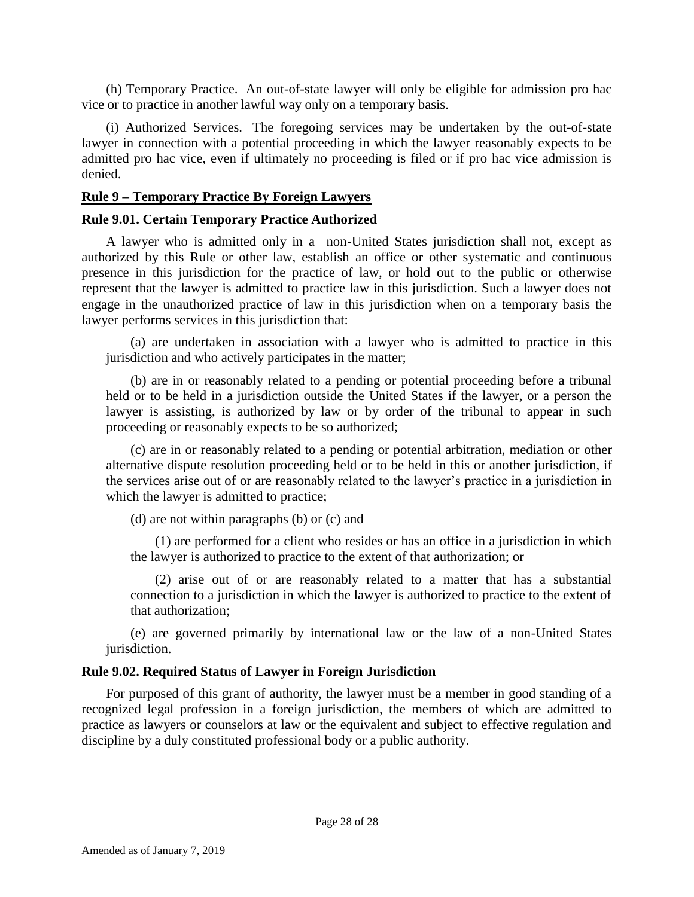(h) Temporary Practice. An out-of-state lawyer will only be eligible for admission pro hac vice or to practice in another lawful way only on a temporary basis.

(i) Authorized Services. The foregoing services may be undertaken by the out-of-state lawyer in connection with a potential proceeding in which the lawyer reasonably expects to be admitted pro hac vice, even if ultimately no proceeding is filed or if pro hac vice admission is denied.

#### **Rule 9 – Temporary Practice By Foreign Lawyers**

#### **Rule 9.01. Certain Temporary Practice Authorized**

A lawyer who is admitted only in a non-United States jurisdiction shall not, except as authorized by this Rule or other law, establish an office or other systematic and continuous presence in this jurisdiction for the practice of law, or hold out to the public or otherwise represent that the lawyer is admitted to practice law in this jurisdiction. Such a lawyer does not engage in the unauthorized practice of law in this jurisdiction when on a temporary basis the lawyer performs services in this jurisdiction that:

(a) are undertaken in association with a lawyer who is admitted to practice in this jurisdiction and who actively participates in the matter;

(b) are in or reasonably related to a pending or potential proceeding before a tribunal held or to be held in a jurisdiction outside the United States if the lawyer, or a person the lawyer is assisting, is authorized by law or by order of the tribunal to appear in such proceeding or reasonably expects to be so authorized;

(c) are in or reasonably related to a pending or potential arbitration, mediation or other alternative dispute resolution proceeding held or to be held in this or another jurisdiction, if the services arise out of or are reasonably related to the lawyer's practice in a jurisdiction in which the lawyer is admitted to practice;

(d) are not within paragraphs (b) or (c) and

(1) are performed for a client who resides or has an office in a jurisdiction in which the lawyer is authorized to practice to the extent of that authorization; or

(2) arise out of or are reasonably related to a matter that has a substantial connection to a jurisdiction in which the lawyer is authorized to practice to the extent of that authorization;

(e) are governed primarily by international law or the law of a non-United States jurisdiction.

### **Rule 9.02. Required Status of Lawyer in Foreign Jurisdiction**

For purposed of this grant of authority, the lawyer must be a member in good standing of a recognized legal profession in a foreign jurisdiction, the members of which are admitted to practice as lawyers or counselors at law or the equivalent and subject to effective regulation and discipline by a duly constituted professional body or a public authority.